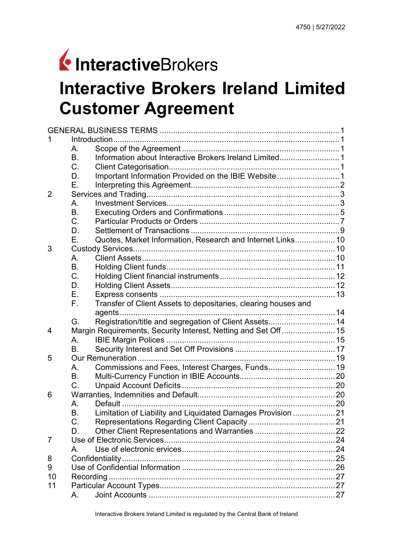# InteractiveBrokers **Interactive Brokers Ireland Limited Customer Agreement**

|                | А.        |                                                                |  |  |  |
|----------------|-----------|----------------------------------------------------------------|--|--|--|
|                | B.        |                                                                |  |  |  |
|                | C.        |                                                                |  |  |  |
|                | D.        | Important Information Provided on the IBIE Website 1           |  |  |  |
|                | Ε.        |                                                                |  |  |  |
| $\overline{2}$ |           |                                                                |  |  |  |
|                | Α.        |                                                                |  |  |  |
|                | <b>B.</b> |                                                                |  |  |  |
|                | C.        |                                                                |  |  |  |
|                | D.        |                                                                |  |  |  |
|                | Е.        | Quotes, Market Information, Research and Internet Links 10     |  |  |  |
| 3              |           |                                                                |  |  |  |
|                | Α.        |                                                                |  |  |  |
|                | <b>B.</b> |                                                                |  |  |  |
|                | C.        |                                                                |  |  |  |
|                | D.        |                                                                |  |  |  |
|                | Ε.        |                                                                |  |  |  |
|                | F.        | Transfer of Client Assets to depositaries, clearing houses and |  |  |  |
|                |           |                                                                |  |  |  |
|                | G.        | Registration/title and segregation of Client Assets 14         |  |  |  |
| 4              |           | Margin Requirements, Security Interest, Netting and Set Off 15 |  |  |  |
|                | А.        |                                                                |  |  |  |
|                | В.        |                                                                |  |  |  |
| 5              |           |                                                                |  |  |  |
|                | Α.        | Commissions and Fees, Interest Charges, Funds 19               |  |  |  |
|                | В.        |                                                                |  |  |  |
|                | $C_{1}$   |                                                                |  |  |  |
| 6              |           |                                                                |  |  |  |
|                | Α.        |                                                                |  |  |  |
|                | В.        | Limitation of Liability and Liquidated Damages Provision 21    |  |  |  |
|                | C.        |                                                                |  |  |  |
|                | D.        |                                                                |  |  |  |
| 7              |           |                                                                |  |  |  |
|                | $A_{1}$   |                                                                |  |  |  |
| 8              |           |                                                                |  |  |  |
| 9              |           |                                                                |  |  |  |
| 10             |           |                                                                |  |  |  |
| 11             |           |                                                                |  |  |  |
|                | А.        |                                                                |  |  |  |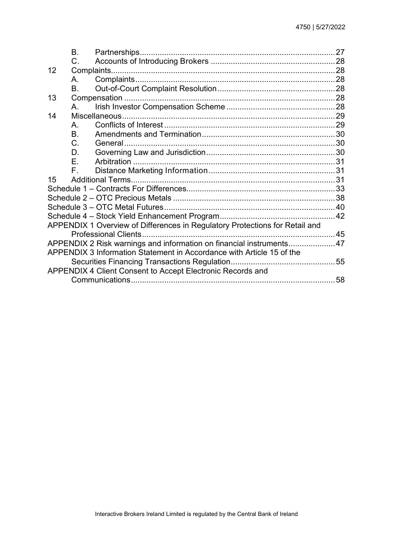|                                                                             | <b>B.</b>                                                           |  |  |  |  |  |
|-----------------------------------------------------------------------------|---------------------------------------------------------------------|--|--|--|--|--|
|                                                                             | $C_{\cdot}$                                                         |  |  |  |  |  |
| 12                                                                          |                                                                     |  |  |  |  |  |
|                                                                             | Α.                                                                  |  |  |  |  |  |
|                                                                             | В.                                                                  |  |  |  |  |  |
| 13                                                                          |                                                                     |  |  |  |  |  |
|                                                                             | A                                                                   |  |  |  |  |  |
| 14                                                                          |                                                                     |  |  |  |  |  |
|                                                                             | Α.                                                                  |  |  |  |  |  |
|                                                                             | В.                                                                  |  |  |  |  |  |
|                                                                             | $C_{\cdot}$                                                         |  |  |  |  |  |
|                                                                             | D.                                                                  |  |  |  |  |  |
|                                                                             | F.                                                                  |  |  |  |  |  |
|                                                                             | F.,                                                                 |  |  |  |  |  |
| 15                                                                          |                                                                     |  |  |  |  |  |
|                                                                             |                                                                     |  |  |  |  |  |
|                                                                             |                                                                     |  |  |  |  |  |
|                                                                             |                                                                     |  |  |  |  |  |
|                                                                             |                                                                     |  |  |  |  |  |
| APPENDIX 1 Overview of Differences in Regulatory Protections for Retail and |                                                                     |  |  |  |  |  |
|                                                                             |                                                                     |  |  |  |  |  |
|                                                                             | APPENDIX 2 Risk warnings and information on financial instruments47 |  |  |  |  |  |
| APPENDIX 3 Information Statement in Accordance with Article 15 of the       |                                                                     |  |  |  |  |  |
|                                                                             |                                                                     |  |  |  |  |  |
| APPENDIX 4 Client Consent to Accept Electronic Records and                  |                                                                     |  |  |  |  |  |
|                                                                             |                                                                     |  |  |  |  |  |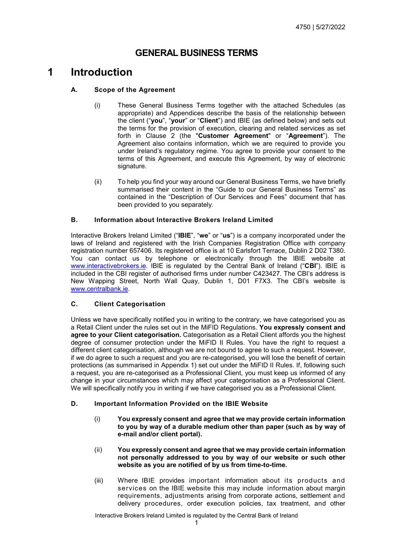### **GENERAL BUSINESS TERMS**

# <span id="page-2-2"></span><span id="page-2-1"></span><span id="page-2-0"></span>**1 Introduction**

### **A. Scope of the Agreement**

- (i) These General Business Terms together with the attached Schedules (as appropriate) and Appendices describe the basis of the relationship between the client ("**you**", "**your**" or "**Client**") and IBIE (as defined below) and sets out the terms for the provision of execution, clearing and related services as set forth in Clause [2](#page-4-0) (the "**Customer Agreement**" or "**Agreement**"). The Agreement also contains information, which we are required to provide you under Ireland's regulatory regime. You agree to provide your consent to the terms of this Agreement, and execute this Agreement, by way of electronic signature.
- (ii) To help you find your way around our General Business Terms, we have briefly summarised their content in the "Guide to our General Business Terms" as contained in the "Description of Our Services and Fees" document that has been provided to you separately.

### <span id="page-2-3"></span>**B. Information about Interactive Brokers Ireland Limited**

Interactive Brokers Ireland Limited ("**IBIE**", "**we**" or "**us**") is a company incorporated under the laws of Ireland and registered with the Irish Companies Registration Office with company registration number 657406. Its registered office is at 10 Earlsfort Terrace, Dublin 2 D02 T380. You can contact us by telephone or electronically through the IBIE website at [www.interactivebrokers.ie.](http://www.interactivebrokers.ie/) IBIE is regulated by the Central Bank of Ireland ("**CBI**"). IBIE is included in the CBI register of authorised firms under number C423427. The CBI's address is New Wapping Street, North Wall Quay, Dublin 1, D01 F7X3. The CBI's website is [www.centralbank.ie.](http://www.centralbank.ie/)

### <span id="page-2-4"></span>**C. Client Categorisation**

Unless we have specifically notified you in writing to the contrary, we have categorised you as a Retail Client under the rules set out in the MiFID Regulations. **You expressly consent and agree to your Client categorisation.** Categorisation as a Retail Client affords you the highest degree of consumer protection under the MiFID II Rules. You have the right to request a different client categorisation, although we are not bound to agree to such a request. However, if we do agree to such a request and you are re-categorised, you will lose the benefit of certain protections (as summarised in Appendix 1) set out under the MiFID II Rules. If, following such a request, you are re-categorised as a Professional Client, you must keep us informed of any change in your circumstances which may affect your categorisation as a Professional Client. We will specifically notify you in writing if we have categorised you as a Professional Client.

### <span id="page-2-5"></span>**D. Important Information Provided on the IBIE Website**

- (i) **You expressly consent and agree that we may provide certain information to you by way of a durable medium other than paper (such as by way of e-mail and/or client portal).**
- (ii) **You expressly consent and agree that we may provide certain information not personally addressed to you by way of our website or such other website as you are notified of by us from time-to-time.**
- (iii) Where IBIE provides important information about its products and services on the IBIE website this may include information about margin requirements, adjustments arising from corporate actions, settlement and delivery procedures, order execution policies, tax treatment, and other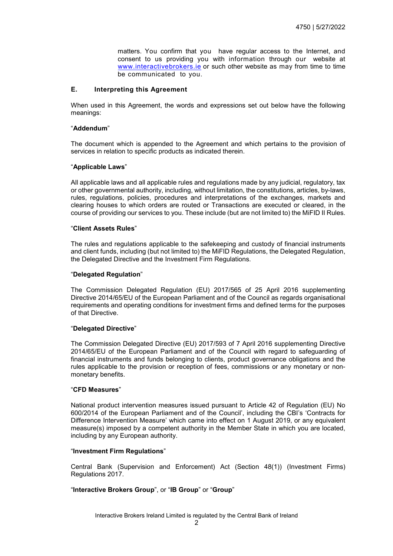matters. You confirm that you have regular access to the Internet, and consent to us providing you with information through our website at [www.interactivebrokers.ie](http://www.interactivebrokers.ie/) or such other website as may from time to time be communicated to you.

### <span id="page-3-0"></span>**E. Interpreting this Agreement**

When used in this Agreement, the words and expressions set out below have the following meanings:

### "**Addendum**"

The document which is appended to the Agreement and which pertains to the provision of services in relation to specific products as indicated therein.

### "**Applicable Laws**"

All applicable laws and all applicable rules and regulations made by any judicial, regulatory, tax or other governmental authority, including, without limitation, the constitutions, articles, by-laws, rules, regulations, policies, procedures and interpretations of the exchanges, markets and clearing houses to which orders are routed or Transactions are executed or cleared, in the course of providing our services to you. These include (but are not limited to) the MiFID II Rules.

### "**Client Assets Rules**"

The rules and regulations applicable to the safekeeping and custody of financial instruments and client funds, including (but not limited to) the MiFID Regulations, the Delegated Regulation, the Delegated Directive and the Investment Firm Regulations.

### "**Delegated Regulation**"

The Commission Delegated Regulation (EU) 2017/565 of 25 April 2016 supplementing Directive 2014/65/EU of the European Parliament and of the Council as regards organisational requirements and operating conditions for investment firms and defined terms for the purposes of that Directive.

### "**Delegated Directive**"

The Commission Delegated Directive (EU) 2017/593 of 7 April 2016 supplementing Directive 2014/65/EU of the European Parliament and of the Council with regard to safeguarding of financial instruments and funds belonging to clients, product governance obligations and the rules applicable to the provision or reception of fees, commissions or any monetary or nonmonetary benefits.

#### "**CFD Measures**"

National product intervention measures issued pursuant to Article 42 of Regulation (EU) No 600/2014 of the European Parliament and of the Council', including the CBI's 'Contracts for Difference Intervention Measure' which came into effect on 1 August 2019, or any equivalent measure(s) imposed by a competent authority in the Member State in which you are located, including by any European authority.

### "**Investment Firm Regulations**"

Central Bank (Supervision and Enforcement) Act (Section 48(1)) (Investment Firms) Regulations 2017.

### "**Interactive Brokers Group**", or "**IB Group**" or "**Group**"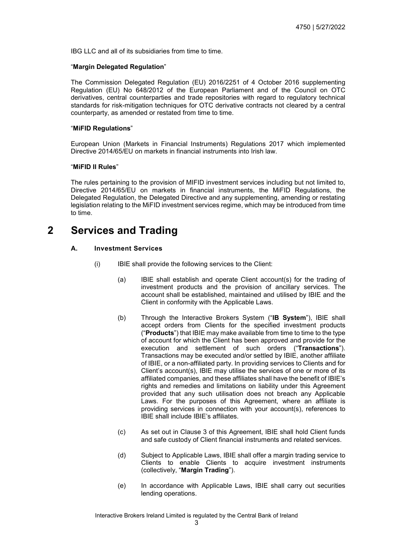IBG LLC and all of its subsidiaries from time to time.

### "**Margin Delegated Regulation**"

The Commission Delegated Regulation (EU) 2016/2251 of 4 October 2016 supplementing Regulation (EU) No 648/2012 of the European Parliament and of the Council on OTC derivatives, central counterparties and trade repositories with regard to regulatory technical standards for risk-mitigation techniques for OTC derivative contracts not cleared by a central counterparty, as amended or restated from time to time.

### "**MiFID Regulations**"

European Union (Markets in Financial Instruments) Regulations 2017 which implemented Directive 2014/65/EU on markets in financial instruments into Irish law.

### "**MiFID II Rules**"

The rules pertaining to the provision of MIFID investment services including but not limited to, Directive 2014/65/EU on markets in financial instruments, the MiFID Regulations, the Delegated Regulation, the Delegated Directive and any supplementing, amending or restating legislation relating to the MiFID investment services regime, which may be introduced from time to time.

# <span id="page-4-1"></span><span id="page-4-0"></span>**2 Services and Trading**

### **A. Investment Services**

- (i) IBIE shall provide the following services to the Client:
	- (a) IBIE shall establish and operate Client account(s) for the trading of investment products and the provision of ancillary services. The account shall be established, maintained and utilised by IBIE and the Client in conformity with the Applicable Laws.
	- (b) Through the Interactive Brokers System ("**IB System**"), IBIE shall accept orders from Clients for the specified investment products ("**Products**") that IBIE may make available from time to time to the type of account for which the Client has been approved and provide for the execution and settlement of such orders ("**Transactions**"). Transactions may be executed and/or settled by IBIE, another affiliate of IBIE, or a non-affiliated party. In providing services to Clients and for Client's account(s), IBIE may utilise the services of one or more of its affiliated companies, and these affiliates shall have the benefit of IBIE's rights and remedies and limitations on liability under this Agreement provided that any such utilisation does not breach any Applicable Laws. For the purposes of this Agreement, where an affiliate is providing services in connection with your account(s), references to IBIE shall include IBIE's affiliates.
	- (c) As set out in Clause [3](#page-11-1) of this Agreement, IBIE shall hold Client funds and safe custody of Client financial instruments and related services.
	- (d) Subject to Applicable Laws, IBIE shall offer a margin trading service to Clients to enable Clients to acquire investment instruments (collectively, "**Margin Trading**").
	- (e) In accordance with Applicable Laws, IBIE shall carry out securities lending operations.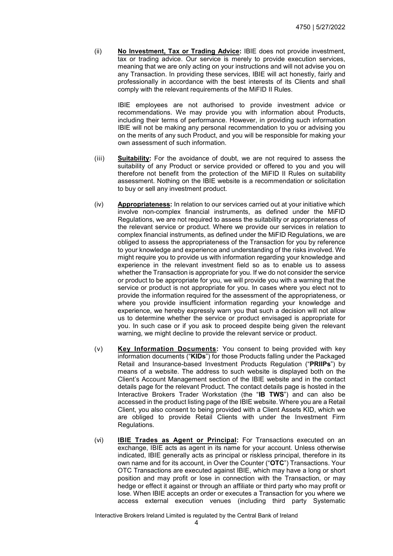(ii) **No Investment, Tax or Trading Advice:** IBIE does not provide investment, tax or trading advice. Our service is merely to provide execution services, meaning that we are only acting on your instructions and will not advise you on any Transaction. In providing these services, IBIE will act honestly, fairly and professionally in accordance with the best interests of its Clients and shall comply with the relevant requirements of the MiFID II Rules.

IBIE employees are not authorised to provide investment advice or recommendations. We may provide you with information about Products, including their terms of performance. However, in providing such information IBIE will not be making any personal recommendation to you or advising you on the merits of any such Product, and you will be responsible for making your own assessment of such information.

- (iii) **Suitability:** For the avoidance of doubt, we are not required to assess the suitability of any Product or service provided or offered to you and you will therefore not benefit from the protection of the MiFID II Rules on suitability assessment. Nothing on the IBIE website is a recommendation or solicitation to buy or sell any investment product.
- (iv) **Appropriateness:** In relation to our services carried out at your initiative which involve non-complex financial instruments, as defined under the MiFID Regulations, we are not required to assess the suitability or appropriateness of the relevant service or product. Where we provide our services in relation to complex financial instruments, as defined under the MiFID Regulations, we are obliged to assess the appropriateness of the Transaction for you by reference to your knowledge and experience and understanding of the risks involved. We might require you to provide us with information regarding your knowledge and experience in the relevant investment field so as to enable us to assess whether the Transaction is appropriate for you. If we do not consider the service or product to be appropriate for you, we will provide you with a warning that the service or product is not appropriate for you. In cases where you elect not to provide the information required for the assessment of the appropriateness, or where you provide insufficient information regarding your knowledge and experience, we hereby expressly warn you that such a decision will not allow us to determine whether the service or product envisaged is appropriate for you. In such case or if you ask to proceed despite being given the relevant warning, we might decline to provide the relevant service or product.
- (v) **Key Information Documents:** You consent to being provided with key information documents ("**KIDs**") for those Products falling under the Packaged Retail and Insurance-based Investment Products Regulation ("**PRIIPs**") by means of a website. The address to such website is displayed both on the Client's Account Management section of the IBIE website and in the contact details page for the relevant Product. The contact details page is hosted in the Interactive Brokers Trader Workstation (the "**IB TWS**") and can also be accessed in the product listing page of the IBIE website. Where you are a Retail Client, you also consent to being provided with a Client Assets KID, which we are obliged to provide Retail Clients with under the Investment Firm Regulations.
- (vi) **IBIE Trades as Agent or Principal:** For Transactions executed on an exchange, IBIE acts as agent in its name for your account. Unless otherwise indicated, IBIE generally acts as principal or riskless principal, therefore in its own name and for its account, in Over the Counter ("**OTC**") Transactions. Your OTC Transactions are executed against IBIE, which may have a long or short position and may profit or lose in connection with the Transaction, or may hedge or effect it against or through an affiliate or third party who may profit or lose. When IBIE accepts an order or executes a Transaction for you where we access external execution venues (including third party Systematic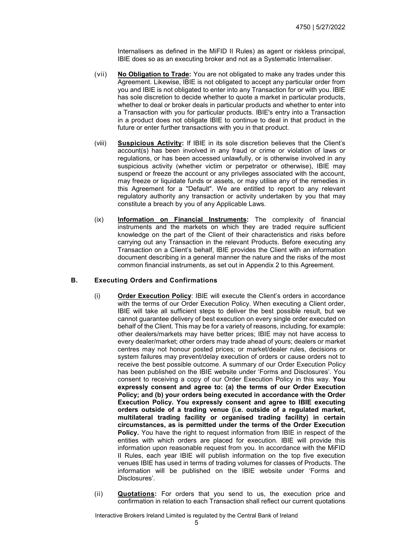Internalisers as defined in the MiFID II Rules) as agent or riskless principal, IBIE does so as an executing broker and not as a Systematic Internaliser.

- (vii) **No Obligation to Trade:** You are not obligated to make any trades under this Agreement. Likewise, IBIE is not obligated to accept any particular order from you and IBIE is not obligated to enter into any Transaction for or with you. IBIE has sole discretion to decide whether to quote a market in particular products, whether to deal or broker deals in particular products and whether to enter into a Transaction with you for particular products. IBIE's entry into a Transaction in a product does not obligate IBIE to continue to deal in that product in the future or enter further transactions with you in that product.
- (viii) **Suspicious Activity:** If IBIE in its sole discretion believes that the Client's account(s) has been involved in any fraud or crime or violation of laws or regulations, or has been accessed unlawfully, or is otherwise involved in any suspicious activity (whether victim or perpetrator or otherwise), IBIE may suspend or freeze the account or any privileges associated with the account, may freeze or liquidate funds or assets, or may utilise any of the remedies in this Agreement for a "Default". We are entitled to report to any relevant regulatory authority any transaction or activity undertaken by you that may constitute a breach by you of any Applicable Laws.
- (ix) **Information on Financial Instruments:** The complexity of financial instruments and the markets on which they are traded require sufficient knowledge on the part of the Client of their characteristics and risks before carrying out any Transaction in the relevant Products. Before executing any Transaction on a Client's behalf, IBIE provides the Client with an information document describing in a general manner the nature and the risks of the most common financial instruments, as set out in Appendix 2 to this Agreement.

#### <span id="page-6-0"></span>**B. Executing Orders and Confirmations**

- (i) **Order Execution Policy**: IBIE will execute the Client's orders in accordance with the terms of our Order Execution Policy. When executing a Client order, IBIE will take all sufficient steps to deliver the best possible result, but we cannot guarantee delivery of best execution on every single order executed on behalf of the Client. This may be for a variety of reasons, including, for example: other dealers/markets may have better prices; IBIE may not have access to every dealer/market; other orders may trade ahead of yours; dealers or market centres may not honour posted prices; or market/dealer rules, decisions or system failures may prevent/delay execution of orders or cause orders not to receive the best possible outcome. A summary of our Order Execution Policy has been published on the IBIE website under 'Forms and Disclosures'. You consent to receiving a copy of our Order Execution Policy in this way. **You expressly consent and agree to: (a) the terms of our Order Execution Policy; and (b) your orders being executed in accordance with the Order Execution Policy. You expressly consent and agree to IBIE executing orders outside of a trading venue (i.e. outside of a regulated market, multilateral trading facility or organised trading facility) in certain circumstances, as is permitted under the terms of the Order Execution Policy.** You have the right to request information from IBIE in respect of the entities with which orders are placed for execution. IBIE will provide this information upon reasonable request from you. In accordance with the MiFID II Rules, each year IBIE will publish information on the top five execution venues IBIE has used in terms of trading volumes for classes of Products. The information will be published on the IBIE website under 'Forms and Disclosures'.
- (ii) **Quotations:** For orders that you send to us, the execution price and confirmation in relation to each Transaction shall reflect our current quotations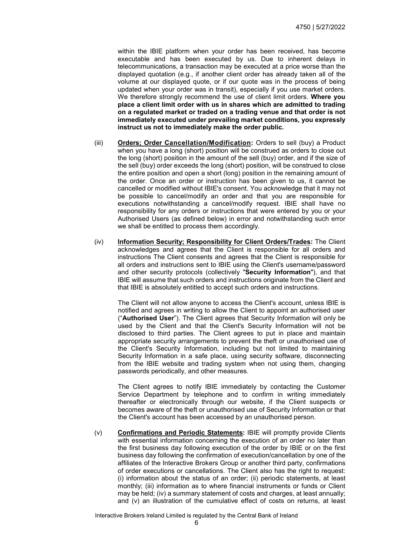within the IBIE platform when your order has been received, has become executable and has been executed by us. Due to inherent delays in telecommunications, a transaction may be executed at a price worse than the displayed quotation (e.g., if another client order has already taken all of the volume at our displayed quote, or if our quote was in the process of being updated when your order was in transit), especially if you use market orders. We therefore strongly recommend the use of client limit orders. **Where you place a client limit order with us in shares which are admitted to trading on a regulated market or traded on a trading venue and that order is not immediately executed under prevailing market conditions, you expressly instruct us not to immediately make the order public.**

- (iii) **Orders; Order Cancellation/Modification:** Orders to sell (buy) a Product when you have a long (short) position will be construed as orders to close out the long (short) position in the amount of the sell (buy) order, and if the size of the sell (buy) order exceeds the long (short) position, will be construed to close the entire position and open a short (long) position in the remaining amount of the order. Once an order or instruction has been given to us, it cannot be cancelled or modified without IBIE's consent. You acknowledge that it may not be possible to cancel/modify an order and that you are responsible for executions notwithstanding a cancel/modify request. IBIE shall have no responsibility for any orders or instructions that were entered by you or your Authorised Users (as defined below) in error and notwithstanding such error we shall be entitled to process them accordingly.
- (iv) **Information Security; Responsibility for Client Orders/Trades:** The Client acknowledges and agrees that the Client is responsible for all orders and instructions The Client consents and agrees that the Client is responsible for all orders and instructions sent to IBIE using the Client's username/password and other security protocols (collectively "**Security Information**"), and that IBIE will assume that such orders and instructions originate from the Client and that IBIE is absolutely entitled to accept such orders and instructions.

The Client will not allow anyone to access the Client's account, unless IBIE is notified and agrees in writing to allow the Client to appoint an authorised user ("**Authorised User**"). The Client agrees that Security Information will only be used by the Client and that the Client's Security Information will not be disclosed to third parties. The Client agrees to put in place and maintain appropriate security arrangements to prevent the theft or unauthorised use of the Client's Security Information, including but not limited to maintaining Security Information in a safe place, using security software, disconnecting from the IBIE website and trading system when not using them, changing passwords periodically, and other measures.

The Client agrees to notify IBIE immediately by contacting the Customer Service Department by telephone and to confirm in writing immediately thereafter or electronically through our website, if the Client suspects or becomes aware of the theft or unauthorised use of Security Information or that the Client's account has been accessed by an unauthorised person.

(v) **Confirmations and Periodic Statements:** IBIE will promptly provide Clients with essential information concerning the execution of an order no later than the first business day following execution of the order by IBIE or on the first business day following the confirmation of execution/cancellation by one of the affiliates of the Interactive Brokers Group or another third party, confirmations of order executions or cancellations. The Client also has the right to request: (i) information about the status of an order; (ii) periodic statements, at least monthly; (iii) information as to where financial instruments or funds or Client may be held; (iv) a summary statement of costs and charges, at least annually; and (v) an illustration of the cumulative effect of costs on returns, at least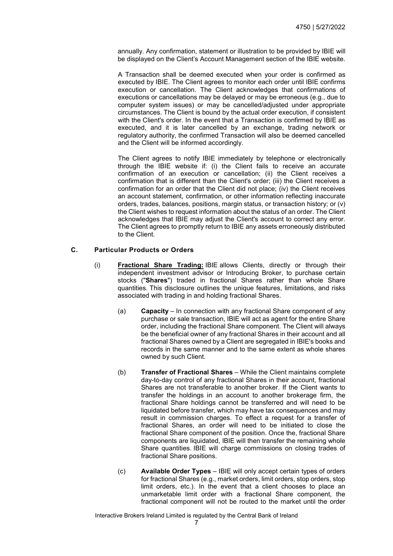annually. Any confirmation, statement or illustration to be provided by IBIE will be displayed on the Client's Account Management section of the IBIE website.

A Transaction shall be deemed executed when your order is confirmed as executed by IBIE. The Client agrees to monitor each order until IBIE confirms execution or cancellation. The Client acknowledges that confirmations of executions or cancellations may be delayed or may be erroneous (e.g., due to computer system issues) or may be cancelled/adjusted under appropriate circumstances. The Client is bound by the actual order execution, if consistent with the Client's order. In the event that a Transaction is confirmed by IBIE as executed, and it is later cancelled by an exchange, trading network or regulatory authority, the confirmed Transaction will also be deemed cancelled and the Client will be informed accordingly.

The Client agrees to notify IBIE immediately by telephone or electronically through the IBIE website if: (i) the Client fails to receive an accurate confirmation of an execution or cancellation; (ii) the Client receives a confirmation that is different than the Client's order; (iii) the Client receives a confirmation for an order that the Client did not place; (iv) the Client receives an account statement, confirmation, or other information reflecting inaccurate orders, trades, balances, positions, margin status, or transaction history; or (v) the Client wishes to request information about the status of an order. The Client acknowledges that IBIE may adjust the Client's account to correct any error. The Client agrees to promptly return to IBIE any assets erroneously distributed to the Client.

### <span id="page-8-0"></span>**C. Particular Products or Orders**

- (i) **Fractional Share Trading:** IBIE allows Clients, directly or through their independent investment advisor or Introducing Broker, to purchase certain stocks ("**Shares**") traded in fractional Shares rather than whole Share quantities. This disclosure outlines the unique features, limitations, and risks associated with trading in and holding fractional Shares.
	- (a) **Capacity** In connection with any fractional Share component of any purchase or sale transaction, IBIE will act as agent for the entire Share order, including the fractional Share component. The Client will always be the beneficial owner of any fractional Shares in their account and all fractional Shares owned by a Client are segregated in IBIE's books and records in the same manner and to the same extent as whole shares owned by such Client.
	- (b) **Transfer of Fractional Shares** While the Client maintains complete day-to-day control of any fractional Shares in their account, fractional Shares are not transferable to another broker. If the Client wants to transfer the holdings in an account to another brokerage firm, the fractional Share holdings cannot be transferred and will need to be liquidated before transfer, which may have tax consequences and may result in commission charges. To effect a request for a transfer of fractional Shares, an order will need to be initiated to close the fractional Share component of the position. Once the, fractional Share components are liquidated, IBIE will then transfer the remaining whole Share quantities. IBIE will charge commissions on closing trades of fractional Share positions.
	- (c) **Available Order Types**  IBIE will only accept certain types of orders for fractional Shares (e.g., market orders, limit orders, stop orders, stop limit orders, etc.). In the event that a client chooses to place an unmarketable limit order with a fractional Share component, the fractional component will not be routed to the market until the order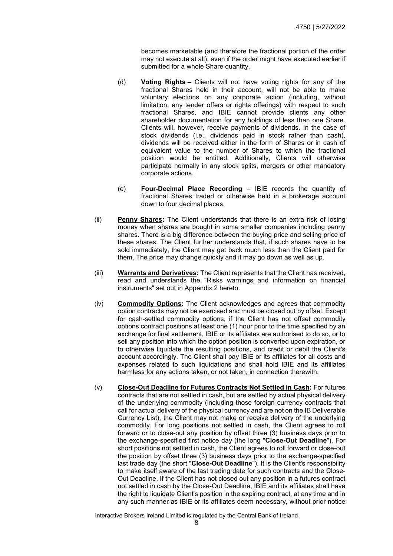becomes marketable (and therefore the fractional portion of the order may not execute at all), even if the order might have executed earlier if submitted for a whole Share quantity.

- (d) **Voting Rights** Clients will not have voting rights for any of the fractional Shares held in their account, will not be able to make voluntary elections on any corporate action (including, without limitation, any tender offers or rights offerings) with respect to such fractional Shares, and IBIE cannot provide clients any other shareholder documentation for any holdings of less than one Share. Clients will, however, receive payments of dividends. In the case of stock dividends (i.e., dividends paid in stock rather than cash), dividends will be received either in the form of Shares or in cash of equivalent value to the number of Shares to which the fractional position would be entitled. Additionally, Clients will otherwise participate normally in any stock splits, mergers or other mandatory corporate actions.
- (e) **Four-Decimal Place Recording**  IBIE records the quantity of fractional Shares traded or otherwise held in a brokerage account down to four decimal places.
- (ii) **Penny Shares:** The Client understands that there is an extra risk of losing money when shares are bought in some smaller companies including penny shares. There is a big difference between the buying price and selling price of these shares. The Client further understands that, if such shares have to be sold immediately, the Client may get back much less than the Client paid for them. The price may change quickly and it may go down as well as up.
- (iii) **Warrants and Derivatives:** The Client represents that the Client has received, read and understands the "Risks warnings and information on financial instruments" set out in Appendix 2 hereto.
- (iv) **Commodity Options:** The Client acknowledges and agrees that commodity option contracts may not be exercised and must be closed out by offset. Except for cash-settled commodity options, if the Client has not offset commodity options contract positions at least one (1) hour prior to the time specified by an exchange for final settlement, IBIE or its affiliates are authorised to do so, or to sell any position into which the option position is converted upon expiration, or to otherwise liquidate the resulting positions, and credit or debit the Client's account accordingly. The Client shall pay IBIE or its affiliates for all costs and expenses related to such liquidations and shall hold IBIE and its affiliates harmless for any actions taken, or not taken, in connection therewith.
- (v) **Close-Out Deadline for Futures Contracts Not Settled in Cash:** For futures contracts that are not settled in cash, but are settled by actual physical delivery of the underlying commodity (including those foreign currency contracts that call for actual delivery of the physical currency and are not on the IB Deliverable Currency List), the Client may not make or receive delivery of the underlying commodity. For long positions not settled in cash, the Client agrees to roll forward or to close-out any position by offset three (3) business days prior to the exchange-specified first notice day (the long "**Close-Out Deadline**"). For short positions not settled in cash, the Client agrees to roll forward or close-out the position by offset three (3) business days prior to the exchange-specified last trade day (the short "**Close-Out Deadline**"). It is the Client's responsibility to make itself aware of the last trading date for such contracts and the Close-Out Deadline. If the Client has not closed out any position in a futures contract not settled in cash by the Close-Out Deadline, IBIE and its affiliates shall have the right to liquidate Client's position in the expiring contract, at any time and in any such manner as IBIE or its affiliates deem necessary, without prior notice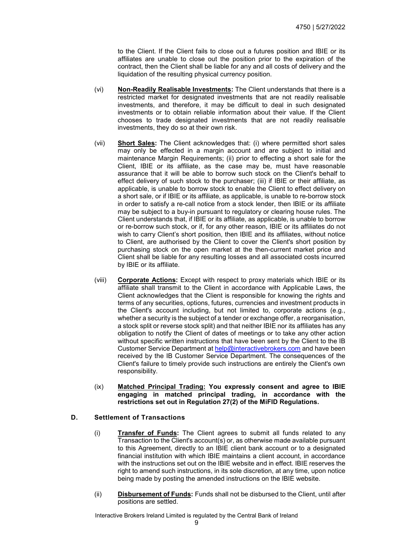to the Client. If the Client fails to close out a futures position and IBIE or its affiliates are unable to close out the position prior to the expiration of the contract, then the Client shall be liable for any and all costs of delivery and the liquidation of the resulting physical currency position.

- (vi) **Non-Readily Realisable Investments:** The Client understands that there is a restricted market for designated investments that are not readily realisable investments, and therefore, it may be difficult to deal in such designated investments or to obtain reliable information about their value. If the Client chooses to trade designated investments that are not readily realisable investments, they do so at their own risk.
- (vii) **Short Sales:** The Client acknowledges that: (i) where permitted short sales may only be effected in a margin account and are subject to initial and maintenance Margin Requirements; (ii) prior to effecting a short sale for the Client, IBIE or its affiliate, as the case may be, must have reasonable assurance that it will be able to borrow such stock on the Client's behalf to effect delivery of such stock to the purchaser; (iii) if IBIE or their affiliate, as applicable, is unable to borrow stock to enable the Client to effect delivery on a short sale, or if IBIE or its affiliate, as applicable, is unable to re-borrow stock in order to satisfy a re-call notice from a stock lender, then IBIE or its affiliate may be subject to a buy-in pursuant to regulatory or clearing house rules. The Client understands that, if IBIE or its affiliate, as applicable, is unable to borrow or re-borrow such stock, or if, for any other reason, IBIE or its affiliates do not wish to carry Client's short position, then IBIE and its affiliates, without notice to Client, are authorised by the Client to cover the Client's short position by purchasing stock on the open market at the then-current market price and Client shall be liable for any resulting losses and all associated costs incurred by IBIE or its affiliate.
- (viii) **Corporate Actions:** Except with respect to proxy materials which IBIE or its affiliate shall transmit to the Client in accordance with Applicable Laws, the Client acknowledges that the Client is responsible for knowing the rights and terms of any securities, options, futures, currencies and investment products in the Client's account including, but not limited to, corporate actions (e.g., whether a security is the subject of a tender or exchange offer, a reorganisation, a stock split or reverse stock split) and that neither IBIE nor its affiliates has any obligation to notify the Client of dates of meetings or to take any other action without specific written instructions that have been sent by the Client to the IB Customer Service Department at [help@interactivebrokers.com](mailto:help@interactivebrokers.com) and have been received by the IB Customer Service Department. The consequences of the Client's failure to timely provide such instructions are entirely the Client's own responsibility.
- (ix) **Matched Principal Trading: You expressly consent and agree to IBIE engaging in matched principal trading, in accordance with the restrictions set out in Regulation 27(2) of the MiFID Regulations.**

### <span id="page-10-0"></span>**D. Settlement of Transactions**

- (i) **Transfer of Funds:** The Client agrees to submit all funds related to any Transaction to the Client's account(s) or, as otherwise made available pursuant to this Agreement, directly to an IBIE client bank account or to a designated financial institution with which IBIE maintains a client account, in accordance with the instructions set out on the IBIE website and in effect. IBIE reserves the right to amend such instructions, in its sole discretion, at any time, upon notice being made by posting the amended instructions on the IBIE website.
- (ii) **Disbursement of Funds:** Funds shall not be disbursed to the Client, until after positions are settled.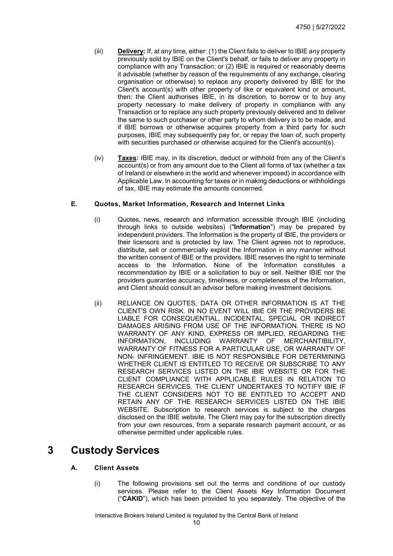- (iii) **Delivery:** If, at any time, either: (1) the Client fails to deliver to IBIE any property previously sold by IBIE on the Client's behalf, or fails to deliver any property in compliance with any Transaction; or (2) IBIE is required or reasonably deems it advisable (whether by reason of the requirements of any exchange, clearing organisation or otherwise) to replace any property delivered by IBIE for the Client's account(s) with other property of like or equivalent kind or amount, then: the Client authorises IBIE, in its discretion, to borrow or to buy any property necessary to make delivery of property in compliance with any Transaction or to replace any such property previously delivered and to deliver the same to such purchaser or other party to whom delivery is to be made, and if IBIE borrows or otherwise acquires property from a third party for such purposes, IBIE may subsequently pay for, or repay the loan of, such property with securities purchased or otherwise acquired for the Client's account(s).
- (iv) **Taxes:** IBIE may, in its discretion, deduct or withhold from any of the Client's account(s) or from any amount due to the Client all forms of tax (whether a tax of Ireland or elsewhere in the world and whenever imposed) in accordance with Applicable Law. In accounting for taxes or in making deductions or withholdings of tax, IBIE may estimate the amounts concerned.

### <span id="page-11-0"></span>**E. Quotes, Market Information, Research and Internet Links**

- (i) Quotes, news, research and information accessible through IBIE (including through links to outside websites) ("**Information**") may be prepared by independent providers. The Information is the property of IBIE, the providers or their licensors and is protected by law. The Client agrees not to reproduce, distribute, sell or commercially exploit the Information in any manner without the written consent of IBIE or the providers. IBIE reserves the right to terminate access to the Information. None of the Information constitutes a recommendation by IBIE or a solicitation to buy or sell. Neither IBIE nor the providers guarantee accuracy, timeliness, or completeness of the Information, and Client should consult an advisor before making investment decisions.
- (ii) RELIANCE ON QUOTES, DATA OR OTHER INFORMATION IS AT THE CLIENT'S OWN RISK. IN NO EVENT WILL IBIE OR THE PROVIDERS BE LIABLE FOR CONSEQUENTIAL, INCIDENTAL, SPECIAL OR INDIRECT DAMAGES ARISING FROM USE OF THE INFORMATION. THERE IS NO WARRANTY OF ANY KIND, EXPRESS OR IMPLIED, REGARDING THE INFORMATION, INCLUDING WARRANTY OF MERCHANTIBILITY, WARRANTY OF FITNESS FOR A PARTICULAR USE, OR WARRANTY OF NON- INFRINGEMENT. IBIE IS NOT RESPONSIBLE FOR DETERMINING WHETHER CLIENT IS ENTITLED TO RECEIVE OR SUBSCRIBE TO ANY RESEARCH SERVICES LISTED ON THE IBIE WEBSITE OR FOR THE CLIENT COMPLIANCE WITH APPLICABLE RULES IN RELATION TO RESEARCH SERVICES. THE CLIENT UNDERTAKES TO NOTIFY IBIE IF THE CLIENT CONSIDERS NOT TO BE ENTITLED TO ACCEPT AND RETAIN ANY OF THE RESEARCH SERVICES LISTED ON THE IBIE WEBSITE. Subscription to research services is subject to the charges disclosed on the IBIE website. The Client may pay for the subscription directly from your own resources, from a separate research payment account, or as otherwise permitted under applicable rules.

# <span id="page-11-2"></span><span id="page-11-1"></span>**3 Custody Services**

### **A. Client Assets**

(i) The following provisions set out the terms and conditions of our custody services. Please refer to the Client Assets Key Information Document ("**CAKID**"), which has been provided to you separately. The objective of the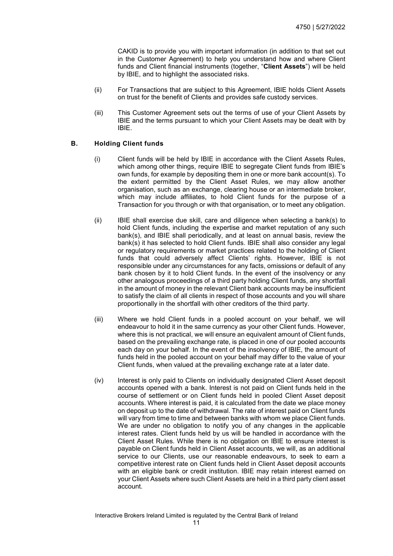CAKID is to provide you with important information (in addition to that set out in the Customer Agreement) to help you understand how and where Client funds and Client financial instruments (together, "**Client Assets**") will be held by IBIE, and to highlight the associated risks.

- (ii) For Transactions that are subject to this Agreement, IBIE holds Client Assets on trust for the benefit of Clients and provides safe custody services.
- (iii) This Customer Agreement sets out the terms of use of your Client Assets by IBIE and the terms pursuant to which your Client Assets may be dealt with by IBIE.

### <span id="page-12-0"></span>**B. Holding Client funds**

- (i) Client funds will be held by IBIE in accordance with the Client Assets Rules, which among other things, require IBIE to segregate Client funds from IBIE's own funds, for example by depositing them in one or more bank account(s). To the extent permitted by the Client Asset Rules, we may allow another organisation, such as an exchange, clearing house or an intermediate broker, which may include affiliates, to hold Client funds for the purpose of a Transaction for you through or with that organisation, or to meet any obligation.
- (ii) IBIE shall exercise due skill, care and diligence when selecting a bank(s) to hold Client funds, including the expertise and market reputation of any such bank(s), and IBIE shall periodically, and at least on annual basis, review the bank(s) it has selected to hold Client funds. IBIE shall also consider any legal or regulatory requirements or market practices related to the holding of Client funds that could adversely affect Clients' rights. However, IBIE is not responsible under any circumstances for any facts, omissions or default of any bank chosen by it to hold Client funds. In the event of the insolvency or any other analogous proceedings of a third party holding Client funds, any shortfall in the amount of money in the relevant Client bank accounts may be insufficient to satisfy the claim of all clients in respect of those accounts and you will share proportionally in the shortfall with other creditors of the third party.
- (iii) Where we hold Client funds in a pooled account on your behalf, we will endeavour to hold it in the same currency as your other Client funds. However, where this is not practical, we will ensure an equivalent amount of Client funds, based on the prevailing exchange rate, is placed in one of our pooled accounts each day on your behalf. In the event of the insolvency of IBIE, the amount of funds held in the pooled account on your behalf may differ to the value of your Client funds, when valued at the prevailing exchange rate at a later date.
- (iv) Interest is only paid to Clients on individually designated Client Asset deposit accounts opened with a bank. Interest is not paid on Client funds held in the course of settlement or on Client funds held in pooled Client Asset deposit accounts. Where interest is paid, it is calculated from the date we place money on deposit up to the date of withdrawal. The rate of interest paid on Client funds will vary from time to time and between banks with whom we place Client funds. We are under no obligation to notify you of any changes in the applicable interest rates. Client funds held by us will be handled in accordance with the Client Asset Rules. While there is no obligation on IBIE to ensure interest is payable on Client funds held in Client Asset accounts, we will, as an additional service to our Clients, use our reasonable endeavours, to seek to earn a competitive interest rate on Client funds held in Client Asset deposit accounts with an eligible bank or credit institution. IBIE may retain interest earned on your Client Assets where such Client Assets are held in a third party client asset account.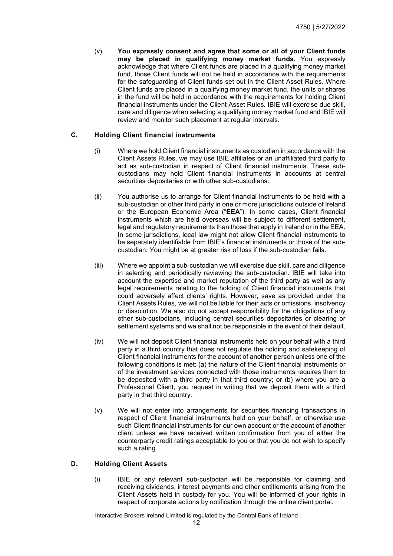(v) **You expressly consent and agree that some or all of your Client funds may be placed in qualifying money market funds.** You expressly acknowledge that where Client funds are placed in a qualifying money market fund, those Client funds will not be held in accordance with the requirements for the safeguarding of Client funds set out in the Client Asset Rules. Where Client funds are placed in a qualifying money market fund, the units or shares in the fund will be held in accordance with the requirements for holding Client financial instruments under the Client Asset Rules. IBIE will exercise due skill, care and diligence when selecting a qualifying money market fund and IBIE will review and monitor such placement at regular intervals.

### <span id="page-13-0"></span>**C. Holding Client financial instruments**

- (i) Where we hold Client financial instruments as custodian in accordance with the Client Assets Rules, we may use IBIE affiliates or an unaffiliated third party to act as sub-custodian in respect of Client financial instruments. These subcustodians may hold Client financial instruments in accounts at central securities depositaries or with other sub-custodians.
- (ii) You authorise us to arrange for Client financial instruments to be held with a sub-custodian or other third party in one or more jurisdictions outside of Ireland or the European Economic Area ("**EEA**"). In some cases, Client financial instruments which are held overseas will be subject to different settlement, legal and regulatory requirements than those that apply in Ireland or in the EEA. In some jurisdictions, local law might not allow Client financial instruments to be separately identifiable from IBIE's financial instruments or those of the subcustodian. You might be at greater risk of loss if the sub-custodian fails.
- (iii) Where we appoint a sub-custodian we will exercise due skill, care and diligence in selecting and periodically reviewing the sub-custodian. IBIE will take into account the expertise and market reputation of the third party as well as any legal requirements relating to the holding of Client financial instruments that could adversely affect clients' rights. However, save as provided under the Client Assets Rules, we will not be liable for their acts or omissions, insolvency or dissolution. We also do not accept responsibility for the obligations of any other sub-custodians, including central securities depositaries or clearing or settlement systems and we shall not be responsible in the event of their default.
- (iv) We will not deposit Client financial instruments held on your behalf with a third party in a third country that does not regulate the holding and safekeeping of Client financial instruments for the account of another person unless one of the following conditions is met: (a) the nature of the Client financial instruments or of the investment services connected with those instruments requires them to be deposited with a third party in that third country; or (b) where you are a Professional Client, you request in writing that we deposit them with a third party in that third country.
- (v) We will not enter into arrangements for securities financing transactions in respect of Client financial instruments held on your behalf, or otherwise use such Client financial instruments for our own account or the account of another client unless we have received written confirmation from you of either the counterparty credit ratings acceptable to you or that you do not wish to specify such a rating.

### <span id="page-13-1"></span>**D. Holding Client Assets**

(i) IBIE or any relevant sub-custodian will be responsible for claiming and receiving dividends, interest payments and other entitlements arising from the Client Assets held in custody for you. You will be informed of your rights in respect of corporate actions by notification through the online client portal.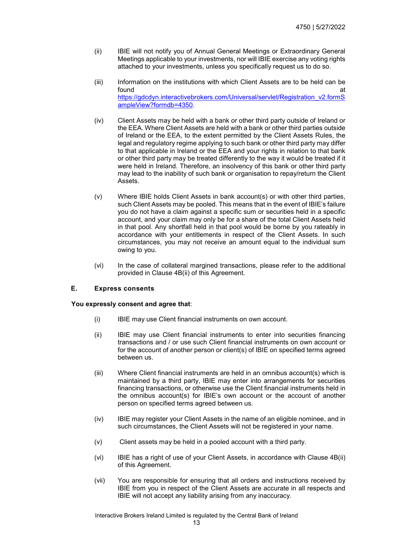- (ii) IBIE will not notify you of Annual General Meetings or Extraordinary General Meetings applicable to your investments, nor will IBIE exercise any voting rights attached to your investments, unless you specifically request us to do so.
- (iii) Information on the institutions with which Client Assets are to be held can be found at a set of the set of the set of the set of the set of the set of the set of the set of the set of the [https://gdcdyn.interactivebrokers.com/Universal/servlet/Registration\\_v2.formS](https://gdcdyn.interactivebrokers.com/Universal/servlet/Registration_v2.formSampleView?formdb=4350) [ampleView?formdb=4350.](https://gdcdyn.interactivebrokers.com/Universal/servlet/Registration_v2.formSampleView?formdb=4350)
- (iv) Client Assets may be held with a bank or other third party outside of Ireland or the EEA. Where Client Assets are held with a bank or other third parties outside of Ireland or the EEA, to the extent permitted by the Client Assets Rules, the legal and regulatory regime applying to such bank or other third party may differ to that applicable in Ireland or the EEA and your rights in relation to that bank or other third party may be treated differently to the way it would be treated if it were held in Ireland. Therefore, an insolvency of this bank or other third party may lead to the inability of such bank or organisation to repay/return the Client Assets.
- (v) Where IBIE holds Client Assets in bank account(s) or with other third parties, such Client Assets may be pooled. This means that in the event of IBIE's failure you do not have a claim against a specific sum or securities held in a specific account, and your claim may only be for a share of the total Client Assets held in that pool. Any shortfall held in that pool would be borne by you rateably in accordance with your entitlements in respect of the Client Assets. In such circumstances, you may not receive an amount equal to the individual sum owing to you.
- (vi) In the case of collateral margined transactions, please refer to the additional provided in Clause 4B(ii) of this Agreement.

### <span id="page-14-0"></span>**E. Express consents**

#### **You expressly consent and agree that**:

- (i) IBIE may use Client financial instruments on own account.
- (ii) IBIE may use Client financial instruments to enter into securities financing transactions and / or use such Client financial instruments on own account or for the account of another person or client(s) of IBIE on specified terms agreed between us.
- (iii) Where Client financial instruments are held in an omnibus account(s) which is maintained by a third party, IBIE may enter into arrangements for securities financing transactions, or otherwise use the Client financial instruments held in the omnibus account(s) for IBIE's own account or the account of another person on specified terms agreed between us.
- (iv) IBIE may register your Client Assets in the name of an eligible nominee, and in such circumstances, the Client Assets will not be registered in your name.
- (v) Client assets may be held in a pooled account with a third party.
- (vi) IBIE has a right of use of your Client Assets, in accordance with Clause [4B\(ii\)](#page-18-1) of this Agreement.
- (vii) You are responsible for ensuring that all orders and instructions received by IBIE from you in respect of the Client Assets are accurate in all respects and IBIE will not accept any liability arising from any inaccuracy.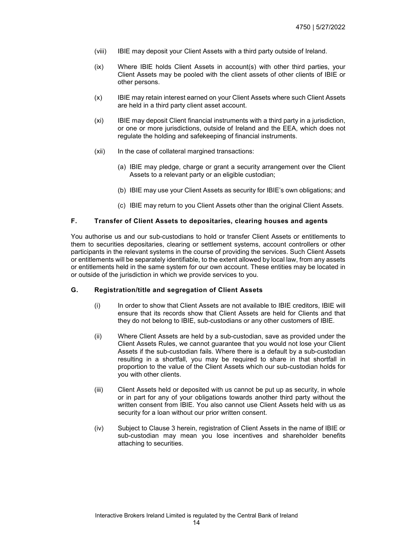- (viii) IBIE may deposit your Client Assets with a third party outside of Ireland.
- (ix) Where IBIE holds Client Assets in account(s) with other third parties, your Client Assets may be pooled with the client assets of other clients of IBIE or other persons.
- (x) IBIE may retain interest earned on your Client Assets where such Client Assets are held in a third party client asset account.
- (xi) IBIE may deposit Client financial instruments with a third party in a jurisdiction, or one or more jurisdictions, outside of Ireland and the EEA, which does not regulate the holding and safekeeping of financial instruments.
- (xii) In the case of collateral margined transactions:
	- (a) IBIE may pledge, charge or grant a security arrangement over the Client Assets to a relevant party or an eligible custodian;
	- (b) IBIE may use your Client Assets as security for IBIE's own obligations; and
	- (c) IBIE may return to you Client Assets other than the original Client Assets.

### <span id="page-15-0"></span>**F. Transfer of Client Assets to depositaries, clearing houses and agents**

You authorise us and our sub-custodians to hold or transfer Client Assets or entitlements to them to securities depositaries, clearing or settlement systems, account controllers or other participants in the relevant systems in the course of providing the services. Such Client Assets or entitlements will be separately identifiable, to the extent allowed by local law, from any assets or entitlements held in the same system for our own account. These entities may be located in or outside of the jurisdiction in which we provide services to you.

### <span id="page-15-1"></span>**G. Registration/title and segregation of Client Assets**

- (i) In order to show that Client Assets are not available to IBIE creditors, IBIE will ensure that its records show that Client Assets are held for Clients and that they do not belong to IBIE, sub-custodians or any other customers of IBIE.
- (ii) Where Client Assets are held by a sub-custodian, save as provided under the Client Assets Rules, we cannot guarantee that you would not lose your Client Assets if the sub-custodian fails. Where there is a default by a sub-custodian resulting in a shortfall, you may be required to share in that shortfall in proportion to the value of the Client Assets which our sub-custodian holds for you with other clients.
- (iii) Client Assets held or deposited with us cannot be put up as security, in whole or in part for any of your obligations towards another third party without the written consent from IBIE. You also cannot use Client Assets held with us as security for a loan without our prior written consent.
- (iv) Subject to Clause [3](#page-11-1) herein, registration of Client Assets in the name of IBIE or sub-custodian may mean you lose incentives and shareholder benefits attaching to securities.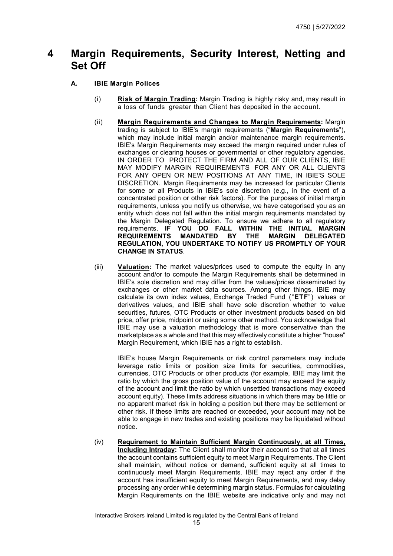# <span id="page-16-0"></span>**4 Margin Requirements, Security Interest, Netting and Set Off**

### <span id="page-16-1"></span>**A. IBIE Margin Polices**

- (i) **Risk of Margin Trading:** Margin Trading is highly risky and, may result in a loss of funds greater than Client has deposited in the account.
- (ii) **Margin Requirements and Changes to Margin Requirements:** Margin trading is subject to IBIE's margin requirements ("**Margin Requirements**"), which may include initial margin and/or maintenance margin requirements. IBIE's Margin Requirements may exceed the margin required under rules of exchanges or clearing houses or governmental or other regulatory agencies. IN ORDER TO PROTECT THE FIRM AND ALL OF OUR CLIENTS, IBIE MAY MODIFY MARGIN REQUIREMENTS FOR ANY OR ALL CLIENTS FOR ANY OPEN OR NEW POSITIONS AT ANY TIME, IN IBIE'S SOLE DISCRETION. Margin Requirements may be increased for particular Clients for some or all Products in IBIE's sole discretion (e.g., in the event of a concentrated position or other risk factors). For the purposes of initial margin requirements, unless you notify us otherwise, we have categorised you as an entity which does not fall within the initial margin requirements mandated by the Margin Delegated Regulation. To ensure we adhere to all regulatory requirements, **IF YOU DO FALL WITHIN THE INITIAL MARGIN BY THE MARGIN DELEGATED REGULATION, YOU UNDERTAKE TO NOTIFY US PROMPTLY OF YOUR CHANGE IN STATUS**.
- (iii) **Valuation:** The market values/prices used to compute the equity in any account and/or to compute the Margin Requirements shall be determined in IBIE's sole discretion and may differ from the values/prices disseminated by exchanges or other market data sources. Among other things, IBIE may calculate its own index values, Exchange Traded Fund ("**ETF**") values or derivatives values, and IBIE shall have sole discretion whether to value securities, futures, OTC Products or other investment products based on bid price, offer price, midpoint or using some other method. You acknowledge that IBIE may use a valuation methodology that is more conservative than the marketplace as a whole and that this may effectively constitute a higher "house" Margin Requirement, which IBIE has a right to establish.

IBIE's house Margin Requirements or risk control parameters may include leverage ratio limits or position size limits for securities, commodities, currencies, OTC Products or other products (for example, IBIE may limit the ratio by which the gross position value of the account may exceed the equity of the account and limit the ratio by which unsettled transactions may exceed account equity). These limits address situations in which there may be little or no apparent market risk in holding a position but there may be settlement or other risk. If these limits are reached or exceeded, your account may not be able to engage in new trades and existing positions may be liquidated without notice.

(iv) **Requirement to Maintain Sufficient Margin Continuously, at all Times, Including Intraday:** The Client shall monitor their account so that at all times the account contains sufficient equity to meet Margin Requirements. The Client shall maintain, without notice or demand, sufficient equity at all times to continuously meet Margin Requirements. IBIE may reject any order if the account has insufficient equity to meet Margin Requirements, and may delay processing any order while determining margin status. Formulas for calculating Margin Requirements on the IBIE website are indicative only and may not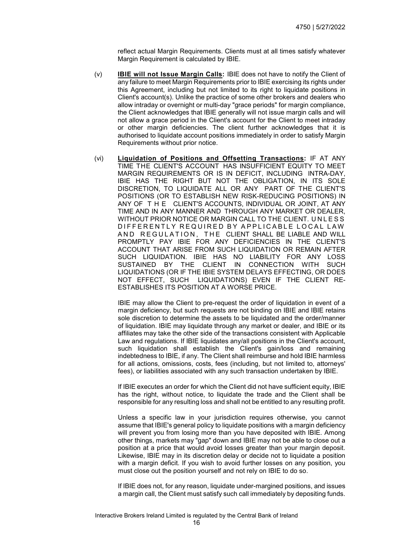reflect actual Margin Requirements. Clients must at all times satisfy whatever Margin Requirement is calculated by IBIE.

- (v) **IBIE will not Issue Margin Calls:** IBIE does not have to notify the Client of any failure to meet Margin Requirements prior to IBIE exercising its rights under this Agreement, including but not limited to its right to liquidate positions in Client's account(s). Unlike the practice of some other brokers and dealers who allow intraday or overnight or multi-day "grace periods" for margin compliance, the Client acknowledges that IBIE generally will not issue margin calls and will not allow a grace period in the Client's account for the Client to meet intraday or other margin deficiencies. The client further acknowledges that it is authorised to liquidate account positions immediately in order to satisfy Margin Requirements without prior notice.
- (vi) **Liquidation of Positions and Offsetting Transactions:** IF AT ANY TIME THE CLIENT'S ACCOUNT HAS INSUFFICIENT EQUITY TO MEET MARGIN REQUIREMENTS OR IS IN DEFICIT, INCLUDING INTRA-DAY, IBIE HAS THE RIGHT BUT NOT THE OBLIGATION, IN ITS SOLE DISCRETION, TO LIQUIDATE ALL OR ANY PART OF THE CLIENT'S POSITIONS (OR TO ESTABLISH NEW RISK-REDUCING POSITIONS) IN ANY OF THE CLIENT'S ACCOUNTS, INDIVIDUAL OR JOINT, AT ANY TIME AND IN ANY MANNER AND THROUGH ANY MARKET OR DEALER, WITHOUT PRIOR NOTICE OR MARGIN CALL TO THE CLIENT. UNLESS DIFFERENTLY REQUIRED BY APPLICABLE LOCAL LAW AND REGULATION, THE CLIENT SHALL BE LIABLE AND WILL PROMPTLY PAY IBIE FOR ANY DEFICIENCIES IN THE CLIENT'S ACCOUNT THAT ARISE FROM SUCH LIQUIDATION OR REMAIN AFTER SUCH LIQUIDATION. IBIE HAS NO LIABILITY FOR ANY LOSS SUSTAINED BY THE CLIENT IN CONNECTION WITH SUCH LIQUIDATIONS (OR IF THE IBIE SYSTEM DELAYS EFFECTING, OR DOES NOT EFFECT, SUCH LIQUIDATIONS) EVEN IF THE CLIENT RE-ESTABLISHES ITS POSITION AT A WORSE PRICE.

IBIE may allow the Client to pre-request the order of liquidation in event of a margin deficiency, but such requests are not binding on IBIE and IBIE retains sole discretion to determine the assets to be liquidated and the order/manner of liquidation. IBIE may liquidate through any market or dealer, and IBIE or its affiliates may take the other side of the transactions consistent with Applicable Law and regulations. If IBIE liquidates any/all positions in the Client's account, such liquidation shall establish the Client's gain/loss and remaining indebtedness to IBIE, if any. The Client shall reimburse and hold IBIE harmless for all actions, omissions, costs, fees (including, but not limited to, attorneys' fees), or liabilities associated with any such transaction undertaken by IBIE.

If IBIE executes an order for which the Client did not have sufficient equity, IBIE has the right, without notice, to liquidate the trade and the Client shall be responsible for any resulting loss and shall not be entitled to any resulting profit.

Unless a specific law in your jurisdiction requires otherwise, you cannot assume that IBIE's general policy to liquidate positions with a margin deficiency will prevent you from losing more than you have deposited with IBIE. Among other things, markets may "gap" down and IBIE may not be able to close out a position at a price that would avoid losses greater than your margin deposit. Likewise, IBIE may in its discretion delay or decide not to liquidate a position with a margin deficit. If you wish to avoid further losses on any position, you must close out the position yourself and not rely on IBIE to do so.

If IBIE does not, for any reason, liquidate under-margined positions, and issues a margin call, the Client must satisfy such call immediately by depositing funds.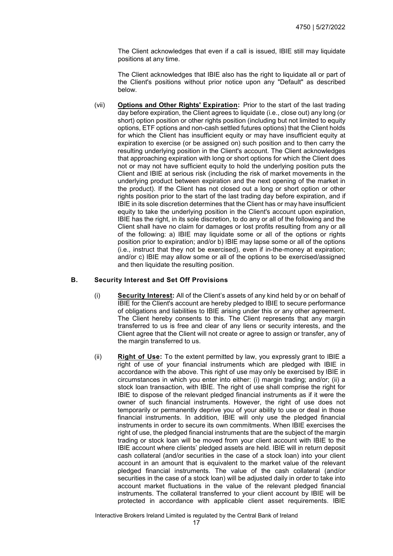The Client acknowledges that even if a call is issued, IBIE still may liquidate positions at any time.

The Client acknowledges that IBIE also has the right to liquidate all or part of the Client's positions without prior notice upon any "Default" as described below.

(vii) **Options and Other Rights' Expiration:** Prior to the start of the last trading day before expiration, the Client agrees to liquidate (i.e., close out) any long (or short) option position or other rights position (including but not limited to equity options, ETF options and non-cash settled futures options) that the Client holds for which the Client has insufficient equity or may have insufficient equity at expiration to exercise (or be assigned on) such position and to then carry the resulting underlying position in the Client's account. The Client acknowledges that approaching expiration with long or short options for which the Client does not or may not have sufficient equity to hold the underlying position puts the Client and IBIE at serious risk (including the risk of market movements in the underlying product between expiration and the next opening of the market in the product). If the Client has not closed out a long or short option or other rights position prior to the start of the last trading day before expiration, and if IBIE in its sole discretion determines that the Client has or may have insufficient equity to take the underlying position in the Client's account upon expiration, IBIE has the right, in its sole discretion, to do any or all of the following and the Client shall have no claim for damages or lost profits resulting from any or all of the following: a) IBIE may liquidate some or all of the options or rights position prior to expiration; and/or b) IBIE may lapse some or all of the options (i.e., instruct that they not be exercised), even if in-the-money at expiration; and/or c) IBIE may allow some or all of the options to be exercised/assigned and then liquidate the resulting position.

### <span id="page-18-2"></span><span id="page-18-0"></span>**B. Security Interest and Set Off Provisions**

- (i) **Security Interest:** All of the Client's assets of any kind held by or on behalf of IBIE for the Client's account are hereby pledged to IBIE to secure performance of obligations and liabilities to IBIE arising under this or any other agreement. The Client hereby consents to this. The Client represents that any margin transferred to us is free and clear of any liens or security interests, and the Client agree that the Client will not create or agree to assign or transfer, any of the margin transferred to us.
- <span id="page-18-1"></span>(ii) **Right of Use:** To the extent permitted by law, you expressly grant to IBIE a right of use of your financial instruments which are pledged with IBIE in accordance with the above. This right of use may only be exercised by IBIE in circumstances in which you enter into either: (i) margin trading; and/or; (ii) a stock loan transaction, with IBIE. The right of use shall comprise the right for IBIE to dispose of the relevant pledged financial instruments as if it were the owner of such financial instruments. However, the right of use does not temporarily or permanently deprive you of your ability to use or deal in those financial instruments. In addition, IBIE will only use the pledged financial instruments in order to secure its own commitments. When IBIE exercises the right of use, the pledged financial instruments that are the subject of the margin trading or stock loan will be moved from your client account with IBIE to the IBIE account where clients' pledged assets are held. IBIE will in return deposit cash collateral (and/or securities in the case of a stock loan) into your client account in an amount that is equivalent to the market value of the relevant pledged financial instruments. The value of the cash collateral (and/or securities in the case of a stock loan) will be adjusted daily in order to take into account market fluctuations in the value of the relevant pledged financial instruments. The collateral transferred to your client account by IBIE will be protected in accordance with applicable client asset requirements. IBIE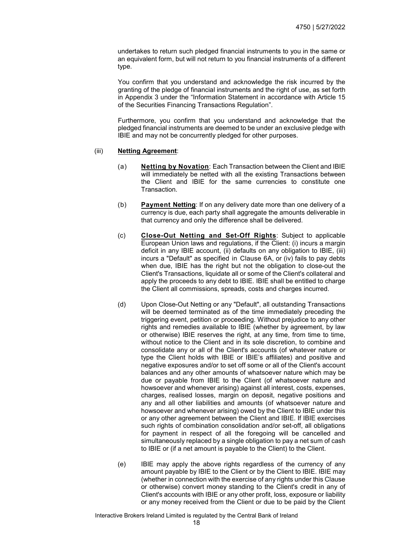undertakes to return such pledged financial instruments to you in the same or an equivalent form, but will not return to you financial instruments of a different type.

You confirm that you understand and acknowledge the risk incurred by the granting of the pledge of financial instruments and the right of use, as set forth in Appendix 3 under the "Information Statement in accordance with Article 15 of the Securities Financing Transactions Regulation".

Furthermore, you confirm that you understand and acknowledge that the pledged financial instruments are deemed to be under an exclusive pledge with IBIE and may not be concurrently pledged for other purposes.

### <span id="page-19-0"></span>(iii) **Netting Agreement**:

- (a) **Netting by Novation**: Each Transaction between the Client and IBIE will immediately be netted with all the existing Transactions between the Client and IBIE for the same currencies to constitute one Transaction.
- (b) **Payment Netting**: If on any delivery date more than one delivery of a currency is due, each party shall aggregate the amounts deliverable in that currency and only the difference shall be delivered.
- (c) **Close-Out Netting and Set-Off Rights**: Subject to applicable European Union laws and regulations, if the Client: (i) incurs a margin deficit in any IBIE account, (ii) defaults on any obligation to IBIE, (iii) incurs a "Default" as specified in [Clause](#page-19-0) [6A,](#page-21-3) or (iv) fails to pay debts when due, IBIE has the right but not the obligation to close-out the Client's Transactions, liquidate all or some of the Client's collateral and apply the proceeds to any debt to IBIE. IBIE shall be entitled to charge the Client all commissions, spreads, costs and charges incurred.
- (d) Upon Close-Out Netting or any "Default", all outstanding Transactions will be deemed terminated as of the time immediately preceding the triggering event, petition or proceeding. Without prejudice to any other rights and remedies available to IBIE (whether by agreement, by law or otherwise) IBIE reserves the right, at any time, from time to time, without notice to the Client and in its sole discretion, to combine and consolidate any or all of the Client's accounts (of whatever nature or type the Client holds with IBIE or IBIE's affiliates) and positive and negative exposures and/or to set off some or all of the Client's account balances and any other amounts of whatsoever nature which may be due or payable from IBIE to the Client (of whatsoever nature and howsoever and whenever arising) against all interest, costs, expenses, charges, realised losses, margin on deposit, negative positions and any and all other liabilities and amounts (of whatsoever nature and howsoever and whenever arising) owed by the Client to IBIE under this or any other agreement between the Client and IBIE. If IBIE exercises such rights of combination consolidation and/or set-off, all obligations for payment in respect of all the foregoing will be cancelled and simultaneously replaced by a single obligation to pay a net sum of cash to IBIE or (if a net amount is payable to the Client) to the Client.
- (e) IBIE may apply the above rights regardless of the currency of any amount payable by IBIE to the Client or by the Client to IBIE. IBIE may (whether in connection with the exercise of any rights under this Clause or otherwise) convert money standing to the Client's credit in any of Client's accounts with IBIE or any other profit, loss, exposure or liability or any money received from the Client or due to be paid by the Client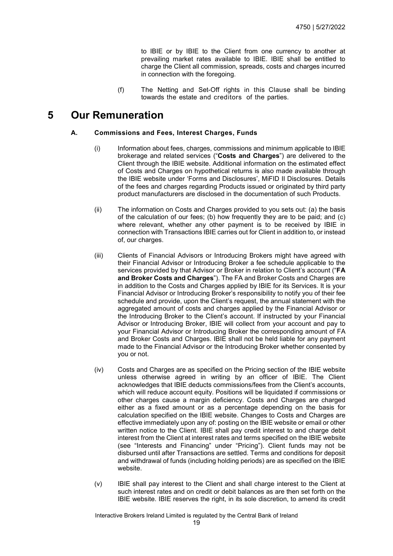to IBIE or by IBIE to the Client from one currency to another at prevailing market rates available to IBIE. IBIE shall be entitled to charge the Client all commission, spreads, costs and charges incurred in connection with the foregoing.

(f) The Netting and Set-Off rights in this Clause shall be binding towards the estate and creditors of the parties.

### <span id="page-20-1"></span><span id="page-20-0"></span>**5 Our Remuneration**

### **A. Commissions and Fees, Interest Charges, Funds**

- (i) Information about fees, charges, commissions and minimum applicable to IBIE brokerage and related services ("**Costs and Charges**") are delivered to the Client through the IBIE website. Additional information on the estimated effect of Costs and Charges on hypothetical returns is also made available through the IBIE website under 'Forms and Disclosures', MiFID II Disclosures. Details of the fees and charges regarding Products issued or originated by third party product manufacturers are disclosed in the documentation of such Products.
- (ii) The information on Costs and Charges provided to you sets out: (a) the basis of the calculation of our fees; (b) how frequently they are to be paid; and (c) where relevant, whether any other payment is to be received by IBIE in connection with Transactions IBIE carries out for Client in addition to, or instead of, our charges.
- (iii) Clients of Financial Advisors or Introducing Brokers might have agreed with their Financial Advisor or Introducing Broker a fee schedule applicable to the services provided by that Advisor or Broker in relation to Client's account ("**FA and Broker Costs and Charges**"). The FA and Broker Costs and Charges are in addition to the Costs and Charges applied by IBIE for its Services. It is your Financial Advisor or Introducing Broker's responsibility to notify you of their fee schedule and provide, upon the Client's request, the annual statement with the aggregated amount of costs and charges applied by the Financial Advisor or the Introducing Broker to the Client's account. If instructed by your Financial Advisor or Introducing Broker, IBIE will collect from your account and pay to your Financial Advisor or Introducing Broker the corresponding amount of FA and Broker Costs and Charges. IBIE shall not be held liable for any payment made to the Financial Advisor or the Introducing Broker whether consented by you or not.
- (iv) Costs and Charges are as specified on the Pricing section of the IBIE website unless otherwise agreed in writing by an officer of IBIE. The Client acknowledges that IBIE deducts commissions/fees from the Client's accounts, which will reduce account equity. Positions will be liquidated if commissions or other charges cause a margin deficiency. Costs and Charges are charged either as a fixed amount or as a percentage depending on the basis for calculation specified on the IBIE website. Changes to Costs and Charges are effective immediately upon any of: posting on the IBIE website or email or other written notice to the Client. IBIE shall pay credit interest to and charge debit interest from the Client at interest rates and terms specified on the IBIE website (see "Interests and Financing" under "Pricing"). Client funds may not be disbursed until after Transactions are settled. Terms and conditions for deposit and withdrawal of funds (including holding periods) are as specified on the IBIE website.
- (v) IBIE shall pay interest to the Client and shall charge interest to the Client at such interest rates and on credit or debit balances as are then set forth on the IBIE website. IBIE reserves the right, in its sole discretion, to amend its credit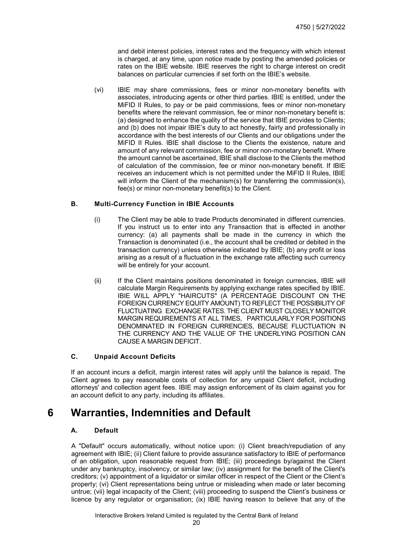and debit interest policies, interest rates and the frequency with which interest is charged, at any time, upon notice made by posting the amended policies or rates on the IBIE website. IBIE reserves the right to charge interest on credit balances on particular currencies if set forth on the IBIE's website.

(vi) IBIE may share commissions, fees or minor non-monetary benefits with associates, introducing agents or other third parties. IBIE is entitled, under the MiFID II Rules, to pay or be paid commissions, fees or minor non-monetary benefits where the relevant commission, fee or minor non-monetary benefit is: (a) designed to enhance the quality of the service that IBIE provides to Clients; and (b) does not impair IBIE's duty to act honestly, fairly and professionally in accordance with the best interests of our Clients and our obligations under the MiFID II Rules. IBIE shall disclose to the Clients the existence, nature and amount of any relevant commission, fee or minor non-monetary benefit. Where the amount cannot be ascertained, IBIE shall disclose to the Clients the method of calculation of the commission, fee or minor non-monetary benefit. If IBIE receives an inducement which is not permitted under the MiFID II Rules, IBIE will inform the Client of the mechanism(s) for transferring the commission(s), fee(s) or minor non-monetary benefit(s) to the Client.

### <span id="page-21-0"></span>**B. Multi-Currency Function in IBIE Accounts**

- (i) The Client may be able to trade Products denominated in different currencies. If you instruct us to enter into any Transaction that is effected in another currency: (a) all payments shall be made in the currency in which the Transaction is denominated (i.e., the account shall be credited or debited in the transaction currency) unless otherwise indicated by IBIE; (b) any profit or loss arising as a result of a fluctuation in the exchange rate affecting such currency will be entirely for your account.
- (ii) If the Client maintains positions denominated in foreign currencies, IBIE will calculate Margin Requirements by applying exchange rates specified by IBIE. IBIE WILL APPLY "HAIRCUTS" (A PERCENTAGE DISCOUNT ON THE FOREIGN CURRENCY EQUITY AMOUNT) TO REFLECT THE POSSIBILITY OF FLUCTUATING EXCHANGE RATES. THE CLIENT MUST CLOSELY MONITOR MARGIN REQUIREMENTS AT ALL TIMES, PARTICULARLY FOR POSITIONS DENOMINATED IN FOREIGN CURRENCIES, BECAUSE FLUCTUATION IN THE CURRENCY AND THE VALUE OF THE UNDERLYING POSITION CAN CAUSE A MARGIN DEFICIT.

### <span id="page-21-1"></span>**C. Unpaid Account Deficits**

If an account incurs a deficit, margin interest rates will apply until the balance is repaid. The Client agrees to pay reasonable costs of collection for any unpaid Client deficit, including attorneys' and collection agent fees. IBIE may assign enforcement of its claim against you for an account deficit to any party, including its affiliates.

# <span id="page-21-3"></span><span id="page-21-2"></span>**6 Warranties, Indemnities and Default**

### **A. Default**

A "Default" occurs automatically, without notice upon: (i) Client breach/repudiation of any agreement with IBIE; (ii) Client failure to provide assurance satisfactory to IBIE of performance of an obligation, upon reasonable request from IBIE; (iii) proceedings by/against the Client under any bankruptcy, insolvency, or similar law; (iv) assignment for the benefit of the Client's creditors; (v) appointment of a liquidator or similar officer in respect of the Client or the Client's property; (vi) Client representations being untrue or misleading when made or later becoming untrue; (vii) legal incapacity of the Client; (viii) proceeding to suspend the Client's business or licence by any regulator or organisation; (ix) IBIE having reason to believe that any of the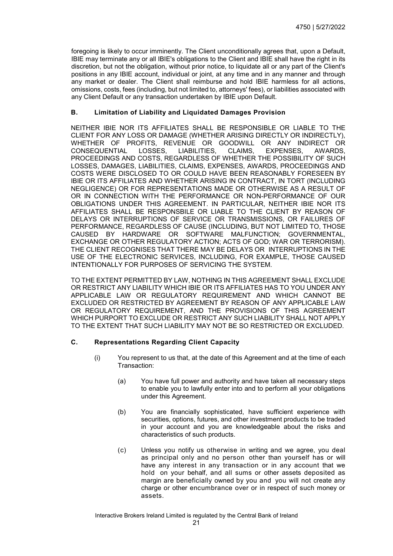foregoing is likely to occur imminently. The Client unconditionally agrees that, upon a Default, IBIE may terminate any or all IBIE's obligations to the Client and IBIE shall have the right in its discretion, but not the obligation, without prior notice, to liquidate all or any part of the Client's positions in any IBIE account, individual or joint, at any time and in any manner and through any market or dealer. The Client shall reimburse and hold IBIE harmless for all actions, omissions, costs, fees (including, but not limited to, attorneys' fees), or liabilities associated with any Client Default or any transaction undertaken by IBIE upon Default.

### <span id="page-22-0"></span>**B. Limitation of Liability and Liquidated Damages Provision**

NEITHER IBIE NOR ITS AFFILIATES SHALL BE RESPONSIBLE OR LIABLE TO THE CLIENT FOR ANY LOSS OR DAMAGE (WHETHER ARISING DIRECTLY OR INDIRECTLY), WHETHER OF PROFITS, REVENUE OR GOODWILL OR ANY INDIRECT OR CONSEQUENTIAL LOSSES, LIABILITIES, CLAIMS, EXPENSES, AWARDS, PROCEEDINGS AND COSTS, REGARDLESS OF WHETHER THE POSSIBILITY OF SUCH LOSSES, DAMAGES, LIABILITIES, CLAIMS, EXPENSES, AWARDS, PROCEEDINGS AND COSTS WERE DISCLOSED TO OR COULD HAVE BEEN REASONABLY FORESEEN BY IBIE OR ITS AFFILIATES AND WHETHER ARISING IN CONTRACT, IN TORT (INCLUDING NEGLIGENCE) OR FOR REPRESENTATIONS MADE OR OTHERWISE AS A RESULT OF OR IN CONNECTION WITH THE PERFORMANCE OR NON-PERFORMANCE OF OUR OBLIGATIONS UNDER THIS AGREEMENT. IN PARTICULAR, NEITHER IBIE NOR ITS AFFILIATES SHALL BE RESPONSBILE OR LIABLE TO THE CLIENT BY REASON OF DELAYS OR INTERRUPTIONS OF SERVICE OR TRANSMISSIONS, OR FAILURES OF PERFORMANCE, REGARDLESS OF CAUSE (INCLUDING, BUT NOT LIMITED TO, THOSE CAUSED BY HARDWARE OR SOFTWARE MALFUNCTION; GOVERNMENTAL, EXCHANGE OR OTHER REGULATORY ACTION; ACTS OF GOD; WAR OR TERRORISM). THE CLIENT RECOGNISES THAT THERE MAY BE DELAYS OR INTERRUPTIONS IN THE USE OF THE ELECTRONIC SERVICES, INCLUDING, FOR EXAMPLE, THOSE CAUSED INTENTIONALLY FOR PURPOSES OF SERVICING THE SYSTEM.

TO THE EXTENT PERMITTED BY LAW, NOTHING IN THIS AGREEMENT SHALL EXCLUDE OR RESTRICT ANY LIABILITY WHICH IBIE OR ITS AFFILIATES HAS TO YOU UNDER ANY APPLICABLE LAW OR REGULATORY REQUIREMENT AND WHICH CANNOT BE EXCLUDED OR RESTRICTED BY AGREEMENT BY REASON OF ANY APPLICABLE LAW OR REGULATORY REQUIREMENT, AND THE PROVISIONS OF THIS AGREEMENT WHICH PURPORT TO EXCLUDE OR RESTRICT ANY SUCH LIABILITY SHALL NOT APPLY TO THE EXTENT THAT SUCH LIABILITY MAY NOT BE SO RESTRICTED OR EXCLUDED.

### <span id="page-22-1"></span>**C. Representations Regarding Client Capacity**

- (i) You represent to us that, at the date of this Agreement and at the time of each Transaction:
	- (a) You have full power and authority and have taken all necessary steps to enable you to lawfully enter into and to perform all your obligations under this Agreement.
	- (b) You are financially sophisticated, have sufficient experience with securities, options, futures, and other investment products to be traded in your account and you are knowledgeable about the risks and characteristics of such products.
	- (c) Unless you notify us otherwise in writing and we agree, you deal as principal only and no person other than yourself has or will have any interest in any transaction or in any account that we hold on your behalf, and all sums or other assets deposited as margin are beneficially owned by you and you will not create any charge or other encumbrance over or in respect of such money or assets.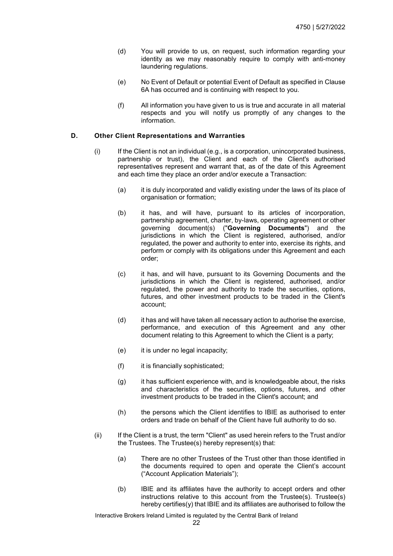- (d) You will provide to us, on request, such information regarding your identity as we may reasonably require to comply with anti-money laundering regulations.
- (e) No Event of Default or potential Event of Default as specified in Clause [6A](#page-21-3) has occurred and is continuing with respect to you.
- (f) All information you have given to us is true and accurate in all material respects and you will notify us promptly of any changes to the information.

### <span id="page-23-0"></span>**D. Other Client Representations and Warranties**

- (i) If the Client is not an individual (e.g., is a corporation, unincorporated business, partnership or trust), the Client and each of the Client's authorised representatives represent and warrant that, as of the date of this Agreement and each time they place an order and/or execute a Transaction:
	- (a) it is duly incorporated and validly existing under the laws of its place of organisation or formation;
	- (b) it has, and will have, pursuant to its articles of incorporation, partnership agreement, charter, by-laws, operating agreement or other governing document(s) ("**Governing Documents**") and the jurisdictions in which the Client is registered, authorised, and/or regulated, the power and authority to enter into, exercise its rights, and perform or comply with its obligations under this Agreement and each order;
	- (c) it has, and will have, pursuant to its Governing Documents and the jurisdictions in which the Client is registered, authorised, and/or regulated, the power and authority to trade the securities, options, futures, and other investment products to be traded in the Client's account;
	- (d) it has and will have taken all necessary action to authorise the exercise, performance, and execution of this Agreement and any other document relating to this Agreement to which the Client is a party;
	- (e) it is under no legal incapacity;
	- (f) it is financially sophisticated;
	- (g) it has sufficient experience with, and is knowledgeable about, the risks and characteristics of the securities, options, futures, and other investment products to be traded in the Client's account; and
	- (h) the persons which the Client identifies to IBIE as authorised to enter orders and trade on behalf of the Client have full authority to do so.
- (ii) If the Client is a trust, the term "Client" as used herein refers to the Trust and/or the Trustees. The Trustee(s) hereby represent(s) that:
	- (a) There are no other Trustees of the Trust other than those identified in the documents required to open and operate the Client's account ("Account Application Materials");
	- (b) IBIE and its affiliates have the authority to accept orders and other instructions relative to this account from the Trustee(s). Trustee(s) hereby certifies(y) that IBIE and its affiliates are authorised to follow the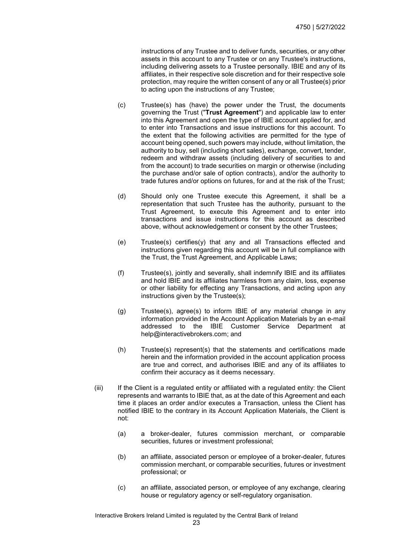instructions of any Trustee and to deliver funds, securities, or any other assets in this account to any Trustee or on any Trustee's instructions, including delivering assets to a Trustee personally. IBIE and any of its affiliates, in their respective sole discretion and for their respective sole protection, may require the written consent of any or all Trustee(s) prior to acting upon the instructions of any Trustee;

- (c) Trustee(s) has (have) the power under the Trust, the documents governing the Trust ("**Trust Agreement**") and applicable law to enter into this Agreement and open the type of IBIE account applied for, and to enter into Transactions and issue instructions for this account. To the extent that the following activities are permitted for the type of account being opened, such powers may include, without limitation, the authority to buy, sell (including short sales), exchange, convert, tender, redeem and withdraw assets (including delivery of securities to and from the account) to trade securities on margin or otherwise (including the purchase and/or sale of option contracts), and/or the authority to trade futures and/or options on futures, for and at the risk of the Trust;
- (d) Should only one Trustee execute this Agreement, it shall be a representation that such Trustee has the authority, pursuant to the Trust Agreement, to execute this Agreement and to enter into transactions and issue instructions for this account as described above, without acknowledgement or consent by the other Trustees;
- (e) Trustee(s) certifies(y) that any and all Transactions effected and instructions given regarding this account will be in full compliance with the Trust, the Trust Agreement, and Applicable Laws;
- (f) Trustee(s), jointly and severally, shall indemnify IBIE and its affiliates and hold IBIE and its affiliates harmless from any claim, loss, expense or other liability for effecting any Transactions, and acting upon any instructions given by the Trustee(s);
- (g) Trustee(s), agree(s) to inform IBIE of any material change in any information provided in the Account Application Materials by an e-mail addressed to the IBIE Customer Service Department at help@interactivebrokers.com; and
- (h) Trustee(s) represent(s) that the statements and certifications made herein and the information provided in the account application process are true and correct, and authorises IBIE and any of its affiliates to confirm their accuracy as it deems necessary.
- (iii) If the Client is a regulated entity or affiliated with a regulated entity: the Client represents and warrants to IBIE that, as at the date of this Agreement and each time it places an order and/or executes a Transaction, unless the Client has notified IBIE to the contrary in its Account Application Materials, the Client is not:
	- (a) a broker-dealer, futures commission merchant, or comparable securities, futures or investment professional;
	- (b) an affiliate, associated person or employee of a broker-dealer, futures commission merchant, or comparable securities, futures or investment professional; or
	- (c) an affiliate, associated person, or employee of any exchange, clearing house or regulatory agency or self-regulatory organisation.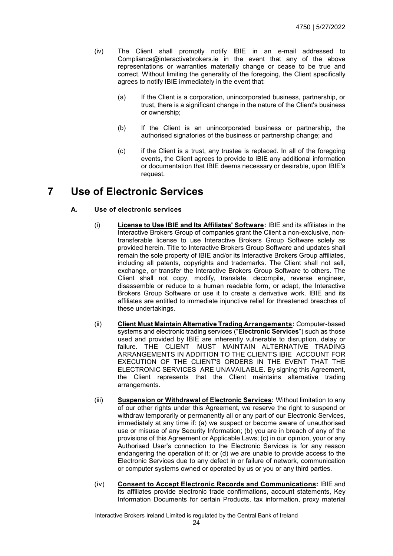- (iv) The Client shall promptly notify IBIE in an e-mail addressed to Compliance@interactivebrokers.ie in the event that any of the above representations or warranties materially change or cease to be true and correct. Without limiting the generality of the foregoing, the Client specifically agrees to notify IBIE immediately in the event that:
	- (a) If the Client is a corporation, unincorporated business, partnership, or trust, there is a significant change in the nature of the Client's business or ownership;
	- (b) If the Client is an unincorporated business or partnership, the authorised signatories of the business or partnership change; and
	- (c) if the Client is a trust, any trustee is replaced. In all of the foregoing events, the Client agrees to provide to IBIE any additional information or documentation that IBIE deems necessary or desirable, upon IBIE's request.

# <span id="page-25-1"></span><span id="page-25-0"></span>**7 Use of Electronic Services**

### **A. Use of electronic services**

- (i) **License to Use IBIE and Its Affiliates' Software:** IBIE and its affiliates in the Interactive Brokers Group of companies grant the Client a non-exclusive, nontransferable license to use Interactive Brokers Group Software solely as provided herein. Title to Interactive Brokers Group Software and updates shall remain the sole property of IBIE and/or its Interactive Brokers Group affiliates, including all patents, copyrights and trademarks. The Client shall not sell, exchange, or transfer the Interactive Brokers Group Software to others. The Client shall not copy, modify, translate, decompile, reverse engineer, disassemble or reduce to a human readable form, or adapt, the Interactive Brokers Group Software or use it to create a derivative work. IBIE and its affiliates are entitled to immediate injunctive relief for threatened breaches of these undertakings.
- (ii) **Client Must Maintain Alternative Trading Arrangements:** Computer-based systems and electronic trading services ("**Electronic Services**") such as those used and provided by IBIE are inherently vulnerable to disruption, delay or failure. THE CLIENT MUST MAINTAIN ALTERNATIVE TRADING ARRANGEMENTS IN ADDITION TO THE CLIENT'S IBIE ACCOUNT FOR EXECUTION OF THE CLIENT'S ORDERS IN THE EVENT THAT THE ELECTRONIC SERVICES ARE UNAVAILABLE. By signing this Agreement, the Client represents that the Client maintains alternative trading arrangements.
- (iii) **Suspension or Withdrawal of Electronic Services:** Without limitation to any of our other rights under this Agreement, we reserve the right to suspend or withdraw temporarily or permanently all or any part of our Electronic Services, immediately at any time if: (a) we suspect or become aware of unauthorised use or misuse of any Security Information; (b) you are in breach of any of the provisions of this Agreement or Applicable Laws; (c) in our opinion, your or any Authorised User's connection to the Electronic Services is for any reason endangering the operation of it; or (d) we are unable to provide access to the Electronic Services due to any defect in or failure of network, communication or computer systems owned or operated by us or you or any third parties.
- (iv) **Consent to Accept Electronic Records and Communications:** IBIE and its affiliates provide electronic trade confirmations, account statements, Key Information Documents for certain Products, tax information, proxy material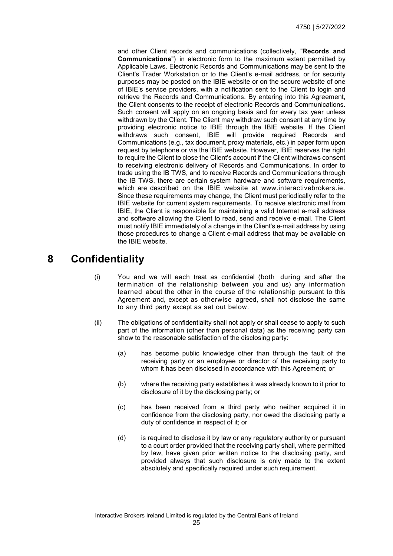and other Client records and communications (collectively, "**Records and Communications**") in electronic form to the maximum extent permitted by Applicable Laws. Electronic Records and Communications may be sent to the Client's Trader Workstation or to the Client's e-mail address, or for security purposes may be posted on the IBIE website or on the secure website of one of IBIE's service providers, with a notification sent to the Client to login and retrieve the Records and Communications. By entering into this Agreement, the Client consents to the receipt of electronic Records and Communications. Such consent will apply on an ongoing basis and for every tax year unless withdrawn by the Client. The Client may withdraw such consent at any time by providing electronic notice to IBIE through the IBIE website. If the Client withdraws such consent, IBIE will provide required Records and Communications (e.g., tax document, proxy materials, etc.) in paper form upon request by telephone or via the IBIE website. However, IBIE reserves the right to require the Client to close the Client's account if the Client withdraws consent to receiving electronic delivery of Records and Communications. In order to trade using the IB TWS, and to receive Records and Communications through the IB TWS, there are certain system hardware and software requirements, which are described on the IBIE website at www.interactivebrokers.ie. Since these requirements may change, the Client must periodically refer to the IBIE website for current system requirements. To receive electronic mail from IBIE, the Client is responsible for maintaining a valid Internet e-mail address and software allowing the Client to read, send and receive e-mail. The Client must notify IBIE immediately of a change in the Client's e-mail address by using those procedures to change a Client e-mail address that may be available on the IBIE website.

# <span id="page-26-0"></span>**8 Confidentiality**

- (i) You and we will each treat as confidential (both during and after the termination of the relationship between you and us) any information learned about the other in the course of the relationship pursuant to this Agreement and, except as otherwise agreed, shall not disclose the same to any third party except as set out below.
- (ii) The obligations of confidentiality shall not apply or shall cease to apply to such part of the information (other than personal data) as the receiving party can show to the reasonable satisfaction of the disclosing party:
	- (a) has become public knowledge other than through the fault of the receiving party or an employee or director of the receiving party to whom it has been disclosed in accordance with this Agreement; or
	- (b) where the receiving party establishes it was already known to it prior to disclosure of it by the disclosing party; or
	- (c) has been received from a third party who neither acquired it in confidence from the disclosing party, nor owed the disclosing party a duty of confidence in respect of it; or
	- (d) is required to disclose it by law or any regulatory authority or pursuant to a court order provided that the receiving party shall, where permitted by law, have given prior written notice to the disclosing party, and provided always that such disclosure is only made to the extent absolutely and specifically required under such requirement.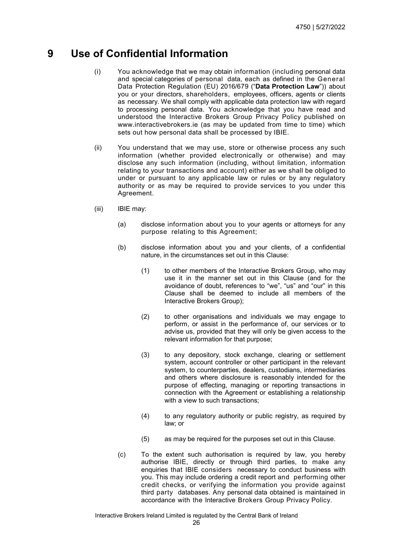# <span id="page-27-0"></span>**9 Use of Confidential Information**

- (i) You acknowledge that we may obtain information (including personal data and special categories of personal data, each as defined in the General Data Protection Regulation (EU) 2016/679 ("**Data Protection Law**")) about you or your directors, shareholders, employees, officers, agents or clients as necessary. We shall comply with applicable data protection law with regard to processing personal data. You acknowledge that you have read and understood the Interactive Brokers Group Privacy Policy published on www.interactivebrokers.ie (as may be updated from time to time) which sets out how personal data shall be processed by IBIE.
- (ii) You understand that we may use, store or otherwise process any such information (whether provided electronically or otherwise) and may disclose any such information (including, without limitation, information relating to your transactions and account) either as we shall be obliged to under or pursuant to any applicable law or rules or by any regulatory authority or as may be required to provide services to you under this Agreement.
- (iii) IBIE may:
	- (a) disclose information about you to your agents or attorneys for any purpose relating to this Agreement;
	- (b) disclose information about you and your clients, of a confidential nature, in the circumstances set out in this Clause:
		- (1) to other members of the Interactive Brokers Group, who may use it in the manner set out in this Clause (and for the avoidance of doubt, references to "we", "us" and "our" in this Clause shall be deemed to include all members of the Interactive Brokers Group);
		- (2) to other organisations and individuals we may engage to perform, or assist in the performance of, our services or to advise us, provided that they will only be given access to the relevant information for that purpose;
		- (3) to any depository, stock exchange, clearing or settlement system, account controller or other participant in the relevant system, to counterparties, dealers, custodians, intermediaries and others where disclosure is reasonably intended for the purpose of effecting, managing or reporting transactions in connection with the Agreement or establishing a relationship with a view to such transactions;
		- (4) to any regulatory authority or public registry, as required by law; or
		- (5) as may be required for the purposes set out in this Clause.
	- (c) To the extent such authorisation is required by law, you hereby authorise IBIE, directly or through third parties, to make any enquiries that IBIE considers necessary to conduct business with you. This may include ordering a credit report and performing other credit checks, or verifying the information you provide against third party databases. Any personal data obtained is maintained in accordance with the Interactive Brokers Group Privacy Policy.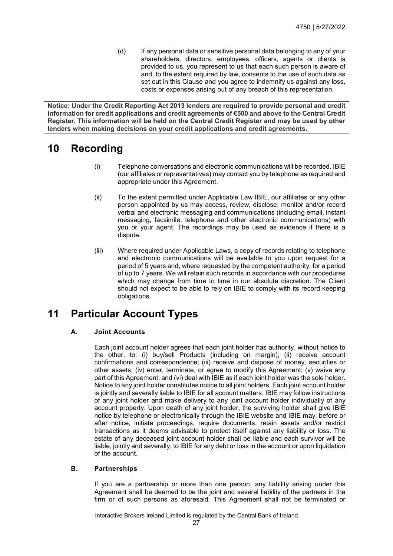(d) If any personal data or sensitive personal data belonging to any of your shareholders, directors, employees, officers, agents or clients is provided to us, you represent to us that each such person is aware of and, to the extent required by law, consents to the use of such data as set out in this Clause and you agree to indemnify us against any loss, costs or expenses arising out of any breach of this representation.

**Notice: Under the Credit Reporting Act 2013 lenders are required to provide personal and credit information for credit applications and credit agreements of €500 and above to the Central Credit Register. This information will be held on the Central Credit Register and may be used by other lenders when making decisions on your credit applications and credit agreements.**

# <span id="page-28-0"></span>**10 Recording**

- (i) Telephone conversations and electronic communications will be recorded. IBIE (our affiliates or representatives) may contact you by telephone as required and appropriate under this Agreement.
- (ii) To the extent permitted under Applicable Law IBIE, our affiliates or any other person appointed by us may access, review, disclose, monitor and/or record verbal and electronic messaging and communications (including email, instant messaging, facsimile, telephone and other electronic communications) with you or your agent. The recordings may be used as evidence if there is a dispute.
- (iii) Where required under Applicable Laws, a copy of records relating to telephone and electronic communications will be available to you upon request for a period of 5 years and, where requested by the competent authority, for a period of up to 7 years. We will retain such records in accordance with our procedures which may change from time to time in our absolute discretion. The Client should not expect to be able to rely on IBIE to comply with its record keeping obligations.

# <span id="page-28-2"></span><span id="page-28-1"></span>**11 Particular Account Types**

### **A. Joint Accounts**

Each joint account holder agrees that each joint holder has authority, without notice to the other, to: (i) buy/sell Products (including on margin); (ii) receive account confirmations and correspondence; (iii) receive and dispose of money, securities or other assets; (iv) enter, terminate, or agree to modify this Agreement; (v) waive any part of this Agreement; and (vi) deal with IBIE as if each joint holder was the sole holder. Notice to any joint holder constitutes notice to all joint holders. Each joint account holder is jointly and severally liable to IBIE for all account matters. IBIE may follow instructions of any joint holder and make delivery to any joint account holder individually of any account property. Upon death of any joint holder, the surviving holder shall give IBIE notice by telephone or electronically through the IBIE website and IBIE may, before or after notice, initiate proceedings, require documents, retain assets and/or restrict transactions as it deems advisable to protect itself against any liability or loss. The estate of any deceased joint account holder shall be liable and each survivor will be liable, jointly and severally, to IBIE for any debt or loss in the account or upon liquidation of the account.

### <span id="page-28-3"></span>**B. Partnerships**

If you are a partnership or more than one person, any liability arising under this Agreement shall be deemed to be the joint and several liability of the partners in the firm or of such persons as aforesaid. This Agreement shall not be terminated or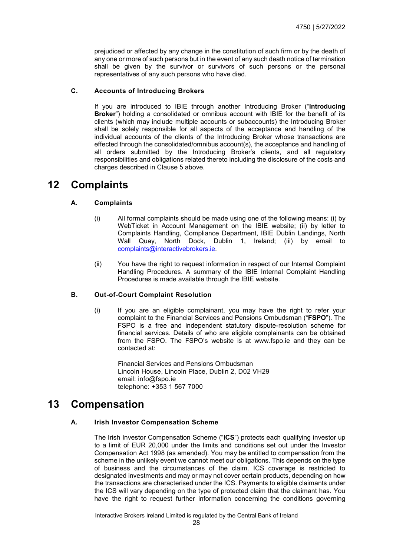prejudiced or affected by any change in the constitution of such firm or by the death of any one or more of such persons but in the event of any such death notice of termination shall be given by the survivor or survivors of such persons or the personal representatives of any such persons who have died.

### <span id="page-29-0"></span>**C. Accounts of Introducing Brokers**

If you are introduced to IBIE through another Introducing Broker ("**Introducing Broker**") holding a consolidated or omnibus account with IBIE for the benefit of its clients (which may include multiple accounts or subaccounts) the Introducing Broker shall be solely responsible for all aspects of the acceptance and handling of the individual accounts of the clients of the Introducing Broker whose transactions are effected through the consolidated/omnibus account(s), the acceptance and handling of all orders submitted by the Introducing Broker's clients, and all regulatory responsibilities and obligations related thereto including the disclosure of the costs and charges described in Clause [5](#page-20-0) above.

# <span id="page-29-2"></span><span id="page-29-1"></span>**12 Complaints**

### **A. Complaints**

- (i) All formal complaints should be made using one of the following means: (i) by WebTicket in Account Management on the IBIE website; (ii) by letter to Complaints Handling, Compliance Department, IBIE Dublin Landings, North North Dock, Dublin 1, Ireland; (iii) by email to [complaints@interactivebrokers.ie.](mailto:complaints@interactivebrokers.ie)
- (ii) You have the right to request information in respect of our Internal Complaint Handling Procedures. A summary of the IBIE Internal Complaint Handling Procedures is made available through the IBIE website.

### <span id="page-29-3"></span>**B. Out-of-Court Complaint Resolution**

(i) If you are an eligible complainant, you may have the right to refer your complaint to the Financial Services and Pensions Ombudsman ("**FSPO**"). The FSPO is a free and independent statutory dispute-resolution scheme for financial services. Details of who are eligible complainants can be obtained from the FSPO. The FSPO's website is at www.fspo.ie and they can be contacted at:

Financial Services and Pensions Ombudsman Lincoln House, Lincoln Place, Dublin 2, D02 VH29 email: info@fspo.ie telephone: +353 1 567 7000

## <span id="page-29-5"></span><span id="page-29-4"></span>**13 Compensation**

### **A. Irish Investor Compensation Scheme**

The Irish Investor Compensation Scheme ("**ICS**") protects each qualifying investor up to a limit of EUR 20,000 under the limits and conditions set out under the Investor Compensation Act 1998 (as amended). You may be entitled to compensation from the scheme in the unlikely event we cannot meet our obligations. This depends on the type of business and the circumstances of the claim. ICS coverage is restricted to designated investments and may or may not cover certain products, depending on how the transactions are characterised under the ICS. Payments to eligible claimants under the ICS will vary depending on the type of protected claim that the claimant has. You have the right to request further information concerning the conditions governing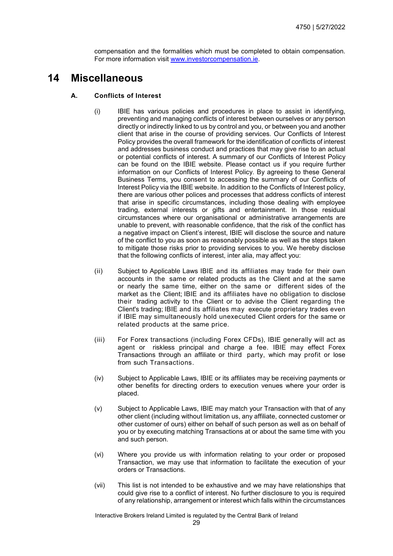compensation and the formalities which must be completed to obtain compensation. For more information visit [www.investorcompensation.ie.](http://www.investorcompensation.ie/)

# <span id="page-30-1"></span><span id="page-30-0"></span>**14 Miscellaneous**

### **A. Conflicts of Interest**

- (i) IBIE has various policies and procedures in place to assist in identifying, preventing and managing conflicts of interest between ourselves or any person directly or indirectly linked to us by control and you, or between you and another client that arise in the course of providing services. Our Conflicts of Interest Policy provides the overall framework for the identification of conflicts of interest and addresses business conduct and practices that may give rise to an actual or potential conflicts of interest. A summary of our Conflicts of Interest Policy can be found on the IBIE website. Please contact us if you require further information on our Conflicts of Interest Policy. By agreeing to these General Business Terms, you consent to accessing the summary of our Conflicts of Interest Policy via the IBIE website. In addition to the Conflicts of Interest policy, there are various other polices and processes that address conflicts of interest that arise in specific circumstances, including those dealing with employee trading, external interests or gifts and entertainment. In those residual circumstances where our organisational or administrative arrangements are unable to prevent, with reasonable confidence, that the risk of the conflict has a negative impact on Client's interest, IBIE will disclose the source and nature of the conflict to you as soon as reasonably possible as well as the steps taken to mitigate those risks prior to providing services to you. We hereby disclose that the following conflicts of interest, inter alia, may affect you:
- (ii) Subject to Applicable Laws IBIE and its affiliates may trade for their own accounts in the same or related products as the Client and at the same or nearly the same time, either on the same or different sides of the market as the Client; IBIE and its affiliates have no obligation to disclose their trading activity to the Client or to advise the Client regarding the Client's trading; IBIE and its affiliates may execute proprietary trades even if IBIE may simultaneously hold unexecuted Client orders for the same or related products at the same price.
- (iii) For Forex transactions (including Forex CFDs), IBIE generally will act as agent or riskless principal and charge a fee. IBIE may effect Forex Transactions through an affiliate or third party, which may profit or lose from such Transactions.
- (iv) Subject to Applicable Laws, IBIE or its affiliates may be receiving payments or other benefits for directing orders to execution venues where your order is placed.
- (v) Subject to Applicable Laws, IBIE may match your Transaction with that of any other client (including without limitation us, any affiliate, connected customer or other customer of ours) either on behalf of such person as well as on behalf of you or by executing matching Transactions at or about the same time with you and such person.
- (vi) Where you provide us with information relating to your order or proposed Transaction, we may use that information to facilitate the execution of your orders or Transactions.
- (vii) This list is not intended to be exhaustive and we may have relationships that could give rise to a conflict of interest. No further disclosure to you is required of any relationship, arrangement or interest which falls within the circumstances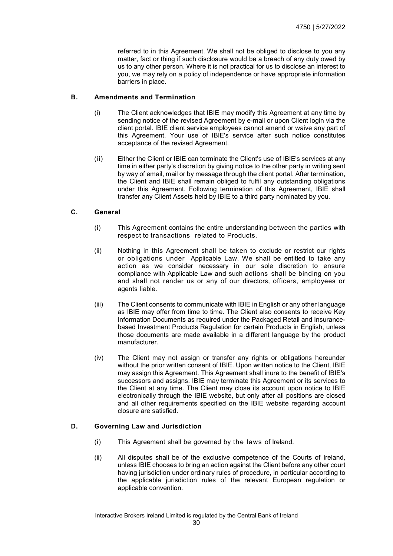referred to in this Agreement. We shall not be obliged to disclose to you any matter, fact or thing if such disclosure would be a breach of any duty owed by us to any other person. Where it is not practical for us to disclose an interest to you, we may rely on a policy of independence or have appropriate information barriers in place.

### <span id="page-31-0"></span>**B. Amendments and Termination**

- (i) The Client acknowledges that IBIE may modify this Agreement at any time by sending notice of the revised Agreement by e-mail or upon Client login via the client portal. IBIE client service employees cannot amend or waive any part of this Agreement. Your use of IBIE's service after such notice constitutes acceptance of the revised Agreement.
- (ii) Either the Client or IBIE can terminate the Client's use of IBIE's services at any time in either party's discretion by giving notice to the other party in writing sent by way of email, mail or by message through the client portal. After termination, the Client and IBIE shall remain obliged to fulfil any outstanding obligations under this Agreement. Following termination of this Agreement, IBIE shall transfer any Client Assets held by IBIE to a third party nominated by you.

### <span id="page-31-1"></span>**C. General**

- (i) This Agreement contains the entire understanding between the parties with respect to transactions related to Products.
- (ii) Nothing in this Agreement shall be taken to exclude or restrict our rights or obligations under Applicable Law. We shall be entitled to take any action as we consider necessary in our sole discretion to ensure compliance with Applicable Law and such actions shall be binding on you and shall not render us or any of our directors, officers, employees or agents liable.
- (iii) The Client consents to communicate with IBIE in English or any other language as IBIE may offer from time to time. The Client also consents to receive Key Information Documents as required under the Packaged Retail and Insurancebased Investment Products Regulation for certain Products in English, unless those documents are made available in a different language by the product manufacturer.
- (iv) The Client may not assign or transfer any rights or obligations hereunder without the prior written consent of IBIE. Upon written notice to the Client, IBIE may assign this Agreement. This Agreement shall inure to the benefit of IBIE's successors and assigns. IBIE may terminate this Agreement or its services to the Client at any time. The Client may close its account upon notice to IBIE electronically through the IBIE website, but only after all positions are closed and all other requirements specified on the IBIE website regarding account closure are satisfied.

### <span id="page-31-2"></span>**D. Governing Law and Jurisdiction**

- (i) This Agreement shall be governed by the laws of Ireland.
- (ii) All disputes shall be of the exclusive competence of the Courts of Ireland, unless IBIE chooses to bring an action against the Client before any other court having jurisdiction under ordinary rules of procedure, in particular according to the applicable jurisdiction rules of the relevant European regulation or applicable convention.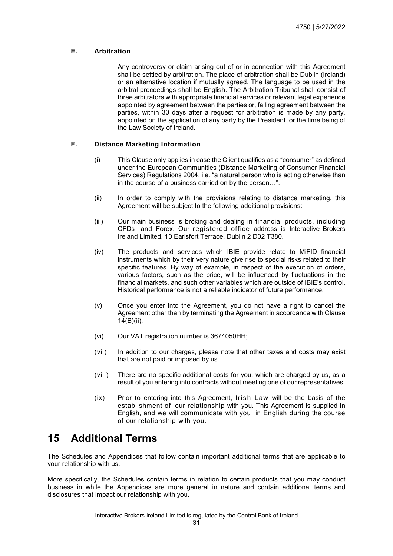### <span id="page-32-0"></span>**E. Arbitration**

Any controversy or claim arising out of or in connection with this Agreement shall be settled by arbitration. The place of arbitration shall be Dublin (Ireland) or an alternative location if mutually agreed. The language to be used in the arbitral proceedings shall be English. The Arbitration Tribunal shall consist of three arbitrators with appropriate financial services or relevant legal experience appointed by agreement between the parties or, failing agreement between the parties, within 30 days after a request for arbitration is made by any party, appointed on the application of any party by the President for the time being of the Law Society of Ireland*.*

### <span id="page-32-1"></span>**F. Distance Marketing Information**

- (i) This Clause only applies in case the Client qualifies as a "consumer" as defined under the European Communities (Distance Marketing of Consumer Financial Services) Regulations 2004, i.e. "a natural person who is acting otherwise than in the course of a business carried on by the person…".
- (ii) In order to comply with the provisions relating to distance marketing, this Agreement will be subject to the following additional provisions:
- (iii) Our main business is broking and dealing in financial products, including CFDs and Forex. Our registered office address is Interactive Brokers Ireland Limited, 10 Earlsfort Terrace, Dublin 2 D02 T380.
- (iv) The products and services which IBIE provide relate to MiFID financial instruments which by their very nature give rise to special risks related to their specific features. By way of example, in respect of the execution of orders, various factors, such as the price, will be influenced by fluctuations in the financial markets, and such other variables which are outside of IBIE's control. Historical performance is not a reliable indicator of future performance.
- (v) Once you enter into the Agreement, you do not have a right to cancel the Agreement other than by terminating the Agreement in accordance with Clause 14(B)(ii).
- (vi) Our VAT registration number is 3674050HH;
- (vii) In addition to our charges, please note that other taxes and costs may exist that are not paid or imposed by us.
- (viii) There are no specific additional costs for you, which are charged by us, as a result of you entering into contracts without meeting one of our representatives.
- (ix) Prior to entering into this Agreement, Irish Law will be the basis of the establishment of our relationship with you. This Agreement is supplied in English, and we will communicate with you in English during the course of our relationship with you.

# <span id="page-32-2"></span>**15 Additional Terms**

The Schedules and Appendices that follow contain important additional terms that are applicable to your relationship with us.

More specifically, the Schedules contain terms in relation to certain products that you may conduct business in while the Appendices are more general in nature and contain additional terms and disclosures that impact our relationship with you.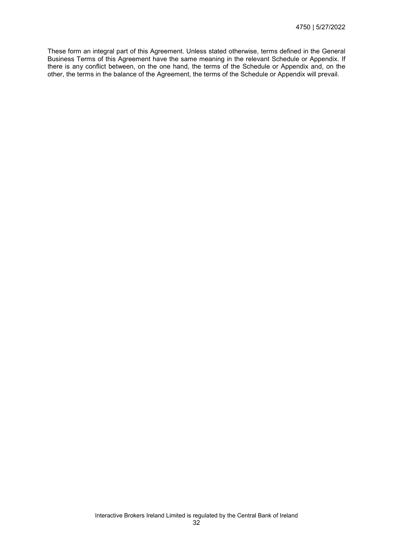These form an integral part of this Agreement. Unless stated otherwise, terms defined in the General Business Terms of this Agreement have the same meaning in the relevant Schedule or Appendix. If there is any conflict between, on the one hand, the terms of the Schedule or Appendix and, on the other, the terms in the balance of the Agreement, the terms of the Schedule or Appendix will prevail.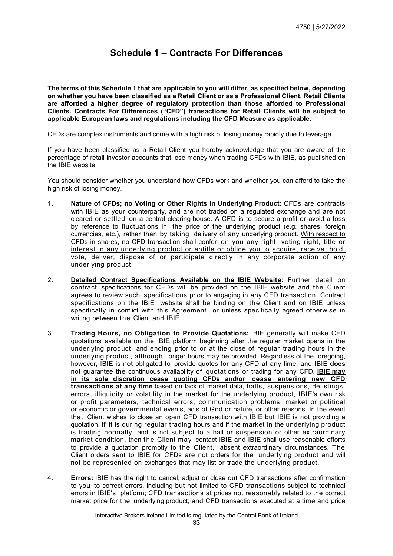# <span id="page-34-0"></span>**Schedule 1 – Contracts For Differences**

**The terms of this Schedule 1 that are applicable to you will differ, as specified below, depending on whether you have been classified as a Retail Client or as a Professional Client. Retail Clients are afforded a higher degree of regulatory protection than those afforded to Professional Clients. Contracts For Differences ("CFD") transactions for Retail Clients will be subject to applicable European laws and regulations including the CFD Measure as applicable.**

CFDs are complex instruments and come with a high risk of losing money rapidly due to leverage.

If you have been classified as a Retail Client you hereby acknowledge that you are aware of the percentage of retail investor accounts that lose money when trading CFDs with IBIE, as published on the IBIE website.

You should consider whether you understand how CFDs work and whether you can afford to take the high risk of losing money.

- 1. **Nature of CFDs; no Voting or Other Rights in Underlying Product:** CFDs are contracts with IBIE as your counterparty, and are not traded on a regulated exchange and are not cleared or settled on a central clearing house. A CFD is to secure a profit or avoid a loss by reference to fluctuations in the price of the underlying product (e.g. shares, foreign currencies, etc.), rather than by taking delivery of any underlying product. With respect to CFDs in shares, no CFD transaction shall confer on you any right, voting right, title or interest in any underlying product or entitle or oblige you to acquire, receive, hold, vote, deliver, dispose of or participate directly in any corporate action of any underlying product.
- 2. **Detailed Contract Specifications Available on the IBIE Website:** Further detail on contract specifications for CFDs will be provided on the IBIE website and the Client agrees to review such specifications prior to engaging in any CFD transaction. Contract specifications on the IBIE website shall be binding on the Client and on IBIE unless specifically in conflict with this Agreement or unless specifically agreed otherwise in writing between the Client and IBIE.
- 3. **Trading Hours, no Obligation to Provide Quotations:** IBIE generally will make CFD quotations available on the IBIE platform beginning after the regular market opens in the underlying product and ending prior to or at the close of regular trading hours in the underlying product, although longer hours may be provided. Regardless of the foregoing, however, IBIE is not obligated to provide quotes for any CFD at any time, and IBIE **does** not guarantee the continuous availability of quotations or trading for any CFD. **IBIE may in its sole discretion cease quoting CFDs and/or cease entering new CFD transactions at any time** based on lack of market data, halts, suspensions, delistings, errors, illiquidity or volatility in the market for the underlying product, IBIE's own risk or profit parameters, technical errors, communication problems, market or political or economic or governmental events, acts of God or nature, or other reasons. In the event that Client wishes to close an open CFD transaction with IBIE but IBIE is not providing a quotation, if it is during regular trading hours and if the market in the underlying product is trading normally and is not subject to a halt or suspension or other extraordinary market condition, then the Client may contact IBIE and IBIE shall use reasonable efforts to provide a quotation promptly to the Client, absent extraordinary circumstances. The Client orders sent to IBIE for CFDs are not orders for the underlying product and will not be represented on exchanges that may list or trade the underlying product.
- 4. **Errors:** IBIE has the right to cancel, adjust or close out CFD transactions after confirmation to you to correct errors, including but not limited to CFD transactions subject to technical errors in IBIE's platform; CFD transactions at prices not reasonably related to the correct market price for the underlying product; and CFD transactions executed at a time and price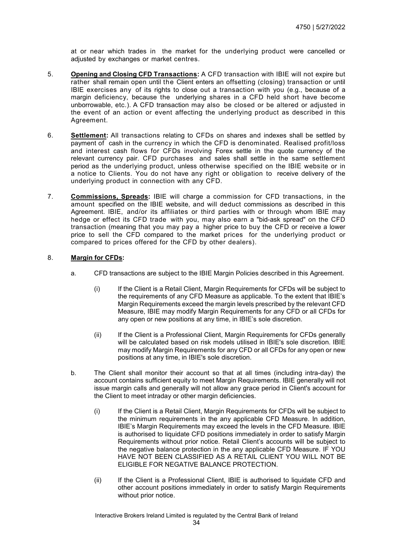at or near which trades in the market for the underlying product were cancelled or adjusted by exchanges or market centres.

- 5. **Opening and Closing CFD Transactions:** A CFD transaction with IBIE will not expire but rather shall remain open until the Client enters an offsetting (closing) transaction or until IBIE exercises any of its rights to close out a transaction with you (e.g., because of a margin deficiency, because the underlying shares in a CFD held short have become unborrowable, etc.). A CFD transaction may also be closed or be altered or adjusted in the event of an action or event affecting the underlying product as described in this Agreement.
- 6. **Settlement:** All transactions relating to CFDs on shares and indexes shall be settled by payment of cash in the currency in which the CFD is denominated. Realised profit/loss and interest cash flows for CFDs involving Forex settle in the quote currency of the relevant currency pair. CFD purchases and sales shall settle in the same settlement period as the underlying product, unless otherwise specified on the IBIE website or in a notice to Clients. You do not have any right or obligation to receive delivery of the underlying product in connection with any CFD.
- 7. **Commissions, Spreads:** IBIE will charge a commission for CFD transactions, in the amount specified on the IBIE website, and will deduct commissions as described in this Agreement. IBIE, and/or its affiliates or third parties with or through whom IBIE may hedge or effect its CFD trade with you, may also earn a "bid-ask spread" on the CFD transaction (meaning that you may pay a higher price to buy the CFD or receive a lower price to sell the CFD compared to the market prices for the underlying product or compared to prices offered for the CFD by other dealers).

### 8. **Margin for CFDs:**

- a. CFD transactions are subject to the IBIE Margin Policies described in this Agreement.
	- (i) If the Client is a Retail Client, Margin Requirements for CFDs will be subject to the requirements of any CFD Measure as applicable. To the extent that IBIE's Margin Requirements exceed the margin levels prescribed by the relevant CFD Measure, IBIE may modify Margin Requirements for any CFD or all CFDs for any open or new positions at any time, in IBIE's sole discretion.
	- (ii) If the Client is a Professional Client, Margin Requirements for CFDs generally will be calculated based on risk models utilised in IBIE's sole discretion. IBIE may modify Margin Requirements for any CFD or all CFDs for any open or new positions at any time, in IBIE's sole discretion.
- b. The Client shall monitor their account so that at all times (including intra-day) the account contains sufficient equity to meet Margin Requirements. IBIE generally will not issue margin calls and generally will not allow any grace period in Client's account for the Client to meet intraday or other margin deficiencies.
	- (i) If the Client is a Retail Client, Margin Requirements for CFDs will be subject to the minimum requirements in the any applicable CFD Measure. In addition, IBIE's Margin Requirements may exceed the levels in the CFD Measure. IBIE is authorised to liquidate CFD positions immediately in order to satisfy Margin Requirements without prior notice. Retail Client's accounts will be subject to the negative balance protection in the any applicable CFD Measure. IF YOU HAVE NOT BEEN CLASSIFIED AS A RETAIL CLIENT YOU WILL NOT BE ELIGIBLE FOR NEGATIVE BALANCE PROTECTION.
	- (ii) If the Client is a Professional Client, IBIE is authorised to liquidate CFD and other account positions immediately in order to satisfy Margin Requirements without prior notice.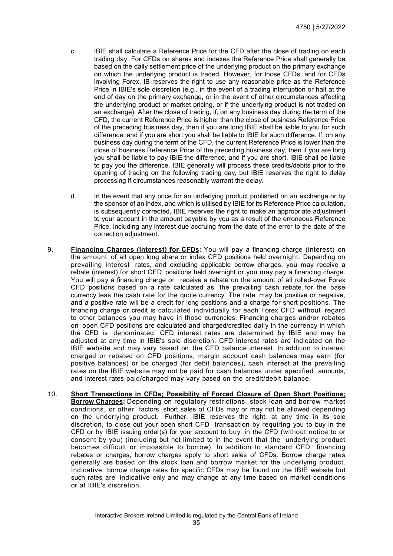- c. IBIE shall calculate a Reference Price for the CFD after the close of trading on each trading day. For CFDs on shares and indexes the Reference Price shall generally be based on the daily settlement price of the underlying product on the primary exchange on which the underlying product is traded. However, for those CFDs, and for CFDs involving Forex, IB reserves the right to use any reasonable price as the Reference Price in IBIE's sole discretion (e.g., in the event of a trading interruption or halt at the end of day on the primary exchange, or in the event of other circumstances affecting the underlying product or market pricing, or if the underlying product is not traded on an exchange). After the close of trading, if, on any business day during the term of the CFD, the current Reference Price is higher than the close of business Reference Price of the preceding business day, then if you are long IBIE shall be liable to you for such difference, and if you are short you shall be liable to IBIE for such difference. If, on any business day during the term of the CFD, the current Reference Price is lower than the close of business Reference Price of the preceding business day, then if you are long you shall be liable to pay IBIE the difference, and if you are short, IBIE shall be liable to pay you the difference. IBIE generally will process these credits/debits prior to the opening of trading on the following trading day, but IBIE reserves the right to delay processing if circumstances reasonably warrant the delay.
- d. In the event that any price for an underlying product published on an exchange or by the sponsor of an index, and which is utilised by IBIE for its Reference Price calculation, is subsequently corrected, IBIE reserves the right to make an appropriate adjustment to your account in the amount payable by you as a result of the erroneous Reference Price, including any interest due accruing from the date of the error to the date of the correction adjustment.
- 9. **Financing Charges (Interest) for CFDs:** You will pay a financing charge (interest) on the amount of all open long share or index CFD positions held overnight. Depending on prevailing interest rates, and excluding applicable borrow charges, you may receive a rebate (interest) for short CFD positions held overnight or you may pay a financing charge. You will pay a financing charge or receive a rebate on the amount of all rolled-over Forex CFD positions based on a rate calculated as the prevailing cash rebate for the base currency less the cash rate for the quote currency. The rate may be positive or negative, and a positive rate will be a credit for long positions and a charge for short positions. The financing charge or credit is calculated individually for each Forex CFD without regard to other balances you may have in those currencies. Financing charges and/or rebates on open CFD positions are calculated and charged/credited daily in the currency in which the CFD is denominated. CFD interest rates are determined by IBIE and may be adjusted at any time in IBIE's sole discretion. CFD interest rates are indicated on the IBIE website and may vary based on the CFD balance interest. In addition to interest charged or rebated on CFD positions, margin account cash balances may earn (for positive balances) or be charged (for debit balances), cash interest at the prevailing rates on the IBIE website may not be paid for cash balances under specified amounts, and interest rates paid/charged may vary based on the credit/debit balance.
- 10. **Short Transactions in CFDs; Possibility of Forced Closure of Open Short Positions; Borrow Charges:** Depending on regulatory restrictions, stock loan and borrow market conditions, or other factors, short sales of CFDs may or may not be allowed depending on the underlying product. Further, IBIE reserves the right, at any time in its sole discretion, to close out your open short CFD transaction by requiring you to buy in the CFD or by IBIE issuing order(s) for your account to buy in the CFD (without notice to or consent by you) (including but not limited to in the event that the underlying product becomes difficult or impossible to borrow). In addition to standard CFD financing rebates or charges, borrow charges apply to short sales of CFDs. Borrow charge rates generally are based on the stock loan and borrow market for the underlying product. Indicative borrow charge rates for specific CFDs may be found on the IBIE website but such rates are indicative only and may change at any time based on market conditions or at IBIE's discretion.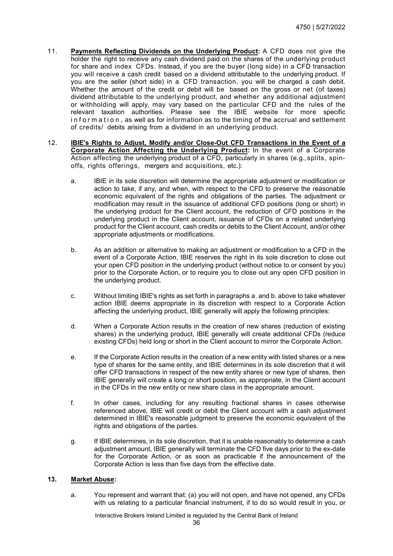- 11. **Payments Reflecting Dividends on the Underlying Product:** A CFD does not give the holder the right to receive any cash dividend paid on the shares of the underlying product for share and index CFDs. Instead, if you are the buyer (long side) in a CFD transaction you will receive a cash credit based on a dividend attributable to the underlying product. If you are the seller (short side) in a CFD transaction, you will be charged a cash debit. Whether the amount of the credit or debit will be based on the gross or net (of taxes) dividend attributable to the underlying product, and whether any additional adjustment or withholding will apply, may vary based on the particular CFD and the rules of the relevant taxation authorities. Please see the IBIE website for more specific information , as well as for information as to the timing of the accrual and settlement of credits/ debits arising from a dividend in an underlying product.
- 12. **IBIE's Rights to Adjust, Modify and/or Close-Out CFD Transactions in the Event of a Corporate Action Affecting the Underlying Product:** In the event of a Corporate Action affecting the underlying product of a CFD, particularly in shares (e.g.*,*splits, spinoffs, rights offerings, mergers and acquisitions, etc.):
	- a. IBIE in its sole discretion will determine the appropriate adjustment or modification or action to take, if any, and when, with respect to the CFD to preserve the reasonable economic equivalent of the rights and obligations of the parties. The adjustment or modification may result in the issuance of additional CFD positions (long or short) in the underlying product for the Client account, the reduction of CFD positions in the underlying product in the Client account, issuance of CFDs on a related underlying product for the Client account, cash credits or debits to the Client Account, and/or other appropriate adjustments or modifications.
	- b. As an addition or alternative to making an adjustment or modification to a CFD in the event of a Corporate Action, IBIE reserves the right in its sole discretion to close out your open CFD position in the underlying product (without notice to or consent by you) prior to the Corporate Action, or to require you to close out any open CFD position in the underlying product.
	- c. Without limiting IBIE's rights as set forth in paragraphs a. and b. above to take whatever action IBIE deems appropriate in its discretion with respect to a Corporate Action affecting the underlying product, IBIE generally will apply the following principles:
	- d. When a Corporate Action results in the creation of new shares (reduction of existing shares) in the underlying product, IBIE generally will create additional CFDs (reduce existing CFDs) held long or short in the Client account to mirror the Corporate Action.
	- e. If the Corporate Action results in the creation of a new entity with listed shares or a new type of shares for the same entity, and IBIE determines in its sole discretion that it will offer CFD transactions in respect of the new entity shares or new type of shares, then IBIE generally will create a long or short position, as appropriate, in the Client account in the CFDs in the new entity or new share class in the appropriate amount.
	- f. In other cases, including for any resulting fractional shares in cases otherwise referenced above, IBIE will credit or debit the Client account with a cash adjustment determined in IBIE's reasonable judgment to preserve the economic equivalent of the rights and obligations of the parties.
	- g. If IBIE determines, in its sole discretion, that it is unable reasonably to determine a cash adjustment amount, IBIE generally will terminate the CFD five days prior to the ex-date for the Corporate Action, or as soon as practicable if the announcement of the Corporate Action is less than five days from the effective date.

### **13. Market Abuse:**

a. You represent and warrant that: (a) you will not open, and have not opened, any CFDs with us relating to a particular financial instrument, if to do so would result in you, or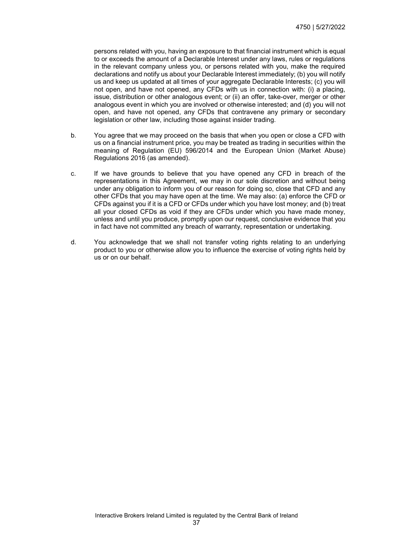persons related with you, having an exposure to that financial instrument which is equal to or exceeds the amount of a Declarable Interest under any laws, rules or regulations in the relevant company unless you, or persons related with you, make the required declarations and notify us about your Declarable Interest immediately; (b) you will notify us and keep us updated at all times of your aggregate Declarable Interests; (c) you will not open, and have not opened, any CFDs with us in connection with: (i) a placing, issue, distribution or other analogous event; or (ii) an offer, take-over, merger or other analogous event in which you are involved or otherwise interested; and (d) you will not open, and have not opened, any CFDs that contravene any primary or secondary legislation or other law, including those against insider trading.

- b. You agree that we may proceed on the basis that when you open or close a CFD with us on a financial instrument price, you may be treated as trading in securities within the meaning of Regulation (EU) 596/2014 and the European Union (Market Abuse) Regulations 2016 (as amended).
- c. If we have grounds to believe that you have opened any CFD in breach of the representations in this Agreement, we may in our sole discretion and without being under any obligation to inform you of our reason for doing so, close that CFD and any other CFDs that you may have open at the time. We may also: (a) enforce the CFD or CFDs against you if it is a CFD or CFDs under which you have lost money; and (b) treat all your closed CFDs as void if they are CFDs under which you have made money, unless and until you produce, promptly upon our request, conclusive evidence that you in fact have not committed any breach of warranty, representation or undertaking.
- d. You acknowledge that we shall not transfer voting rights relating to an underlying product to you or otherwise allow you to influence the exercise of voting rights held by us or on our behalf.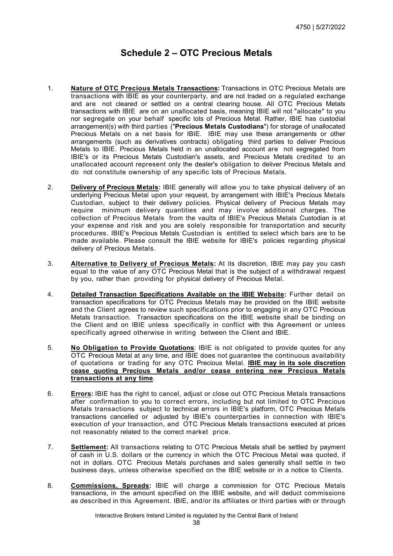# <span id="page-39-0"></span>**Schedule 2 – OTC Precious Metals**

- 1. **Nature of OTC Precious Metals Transactions:** Transactions in OTC Precious Metals are transactions with IBIE as your counterparty, and are not traded on a regulated exchange and are not cleared or settled on a central clearing house. All OTC Precious Metals transactions with IBIE are on an unallocated basis, meaning IBIE will not "allocate" to you nor segregate on your behalf specific lots of Precious Metal. Rather, IBIE has custodial arrangement(s) with third parties ("**Precious Metals Custodians**") for storage of unallocated Precious Metals on a net basis for IBIE. IBIE may use these arrangements or other arrangements (such as derivatives contracts) obligating third parties to deliver Precious Metals to IBIE. Precious Metals held in an unallocated account are not segregated from IBIE's or its Precious Metals Custodian's assets, and Precious Metals credited to an unallocated account represent only the dealer's obligation to deliver Precious Metals and do not constitute ownership of any specific lots of Precious Metals.
- 2. **Delivery of Precious Metals:** IBIE generally will allow you to take physical delivery of an underlying Precious Metal upon your request, by arrangement with IBIE's Precious Metals Custodian, subject to their delivery policies. Physical delivery of Precious Metals may require minimum delivery quantities and may involve additional charges. The collection of Precious Metals from the vaults of IBIE's Precious Metals Custodian is at your expense and risk and you are solely responsible for transportation and security procedures. IBIE's Precious Metals Custodian is entitled to select which bars are to be made available. Please consult the IBIE website for IBIE's policies regarding physical delivery of Precious Metals.
- 3. **Alternative to Delivery of Precious Metals:** At its discretion, IBIE may pay you cash equal to the value of any OTC Precious Metal that is the subject of a withdrawal request by you, rather than providing for physical delivery of Precious Metal.
- 4. **Detailed Transaction Specifications Available on the IBIE Website:** Further detail on transaction specifications for OTC Precious Metals may be provided on the IBIE website and the Client agrees to review such specifications prior to engaging in any OTC Precious Metals transaction. Transaction specifications on the IBIE website shall be binding on the Client and on IBIE unless specifically in conflict with this Agreement or unless specifically agreed otherwise in writing between the Client and IBIE.
- 5. **No Obligation to Provide Quotations**: IBIE is not obligated to provide quotes for any OTC Precious Metal at any time, and IBIE does not guarantee the continuous availability of quotations or trading for any OTC Precious Metal. **IBIE may in its sole discretion cease quoting Precious Metals and/or cease entering new Precious Metals transactions at any time**.
- 6. **Errors:** IBIE has the right to cancel, adjust or close out OTC Precious Metals transactions after confirmation to you to correct errors, including but not limited to OTC Precious Metals transactions subject to technical errors in IBIE's platform, OTC Precious Metals transactions cancelled or adjusted by IBIE's counterparties in connection with IBIE's execution of your transaction, and OTC Precious Metals transactions executed at prices not reasonably related to the correct market price.
- 7. **Settlement:** All transactions relating to OTC Precious Metals shall be settled by payment of cash in U.S. dollars or the currency in which the OTC Precious Metal was quoted, if not in dollars. OTC Precious Metals purchases and sales generally shall settle in two business days, unless otherwise specified on the IBIE website or in a notice to Clients.
- 8. **Commissions, Spreads:** IBIE will charge a commission for OTC Precious Metals transactions, in the amount specified on the IBIE website, and will deduct commissions as described in this Agreement. IBIE, and/or its affiliates or third parties with or through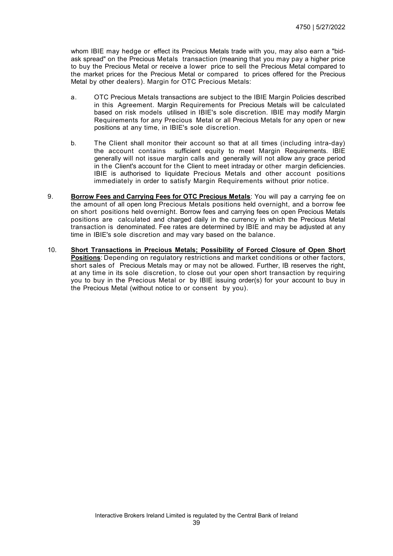whom IBIE may hedge or effect its Precious Metals trade with you, may also earn a "bidask spread" on the Precious Metals transaction (meaning that you may pay a higher price to buy the Precious Metal or receive a lower price to sell the Precious Metal compared to the market prices for the Precious Metal or compared to prices offered for the Precious Metal by other dealers). Margin for OTC Precious Metals:

- a. OTC Precious Metals transactions are subject to the IBIE Margin Policies described in this Agreement. Margin Requirements for Precious Metals will be calculated based on risk models utilised in IBIE's sole discretion. IBIE may modify Margin Requirements for any Precious Metal or all Precious Metals for any open or new positions at any time, in IBIE's sole discretion.
- b. The Client shall monitor their account so that at all times (including intra-day) the account contains sufficient equity to meet Margin Requirements. IBIE generally will not issue margin calls and generally will not allow any grace period in the Client's account for the Client to meet intraday or other margin deficiencies. IBIE is authorised to liquidate Precious Metals and other account positions immediately in order to satisfy Margin Requirements without prior notice.
- 9. **Borrow Fees and Carrying Fees for OTC Precious Metals**: You will pay a carrying fee on the amount of all open long Precious Metals positions held overnight, and a borrow fee on short positions held overnight. Borrow fees and carrying fees on open Precious Metals positions are calculated and charged daily in the currency in which the Precious Metal transaction is denominated. Fee rates are determined by IBIE and may be adjusted at any time in IBIE's sole discretion and may vary based on the balance.
- 10. **Short Transactions in Precious Metals; Possibility of Forced Closure of Open Short Positions**: Depending on regulatory restrictions and market conditions or other factors, short sales of Precious Metals may or may not be allowed. Further, IB reserves the right, at any time in its sole discretion, to close out your open short transaction by requiring you to buy in the Precious Metal or by IBIE issuing order(s) for your account to buy in the Precious Metal (without notice to or consent by you).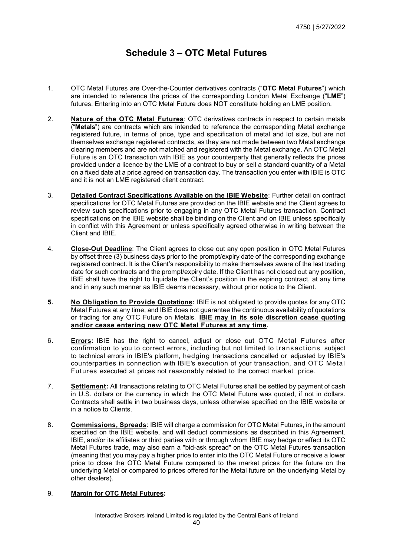# <span id="page-41-0"></span>**Schedule 3 – OTC Metal Futures**

- 1. OTC Metal Futures are Over-the-Counter derivatives contracts ("**OTC Metal Futures**") which are intended to reference the prices of the corresponding London Metal Exchange ("**LME**") futures. Entering into an OTC Metal Future does NOT constitute holding an LME position.
- 2. **Nature of the OTC Metal Futures**: OTC derivatives contracts in respect to certain metals ("**Metals**") are contracts which are intended to reference the corresponding Metal exchange registered future, in terms of price, type and specification of metal and lot size, but are not themselves exchange registered contracts, as they are not made between two Metal exchange clearing members and are not matched and registered with the Metal exchange. An OTC Metal Future is an OTC transaction with IBIE as your counterparty that generally reflects the prices provided under a licence by the LME of a contract to buy or sell a standard quantity of a Metal on a fixed date at a price agreed on transaction day. The transaction you enter with IBIE is OTC and it is not an LME registered client contract.
- 3. **Detailed Contract Specifications Available on the IBIE Website**: Further detail on contract specifications for OTC Metal Futures are provided on the IBIE website and the Client agrees to review such specifications prior to engaging in any OTC Metal Futures transaction. Contract specifications on the IBIE website shall be binding on the Client and on IBIE unless specifically in conflict with this Agreement or unless specifically agreed otherwise in writing between the Client and IBIE.
- 4. **Close-Out Deadline**: The Client agrees to close out any open position in OTC Metal Futures by offset three (3) business days prior to the prompt/expiry date of the corresponding exchange registered contract. It is the Client's responsibility to make themselves aware of the last trading date for such contracts and the prompt/expiry date. If the Client has not closed out any position, IBIE shall have the right to liquidate the Client's position in the expiring contract, at any time and in any such manner as IBIE deems necessary, without prior notice to the Client.
- **5. No Obligation to Provide Quotations:** IBIE is not obligated to provide quotes for any OTC Metal Futures at any time, and IBIE does not guarantee the continuous availability of quotations or trading for any OTC Future on Metals. **IBIE may in its sole discretion cease quoting and/or cease entering new OTC Metal Futures at any time.**
- 6. **Errors:** IBIE has the right to cancel, adjust or close out OTC Metal Futures after confirmation to you to correct errors, including but not limited to transactions subject to technical errors in IBIE's platform, hedging transactions cancelled or adjusted by IBIE's counterparties in connection with IBIE's execution of your transaction, and OTC Metal Futures executed at prices not reasonably related to the correct market price.
- 7. **Settlement:** All transactions relating to OTC Metal Futures shall be settled by payment of cash in U.S. dollars or the currency in which the OTC Metal Future was quoted, if not in dollars. Contracts shall settle in two business days, unless otherwise specified on the IBIE website or in a notice to Clients.
- 8. **Commissions, Spreads**: IBIE will charge a commission for OTC Metal Futures, in the amount specified on the IBIE website, and will deduct commissions as described in this Agreement. IBIE, and/or its affiliates or third parties with or through whom IBIE may hedge or effect its OTC Metal Futures trade, may also earn a "bid-ask spread" on the OTC Metal Futures transaction (meaning that you may pay a higher price to enter into the OTC Metal Future or receive a lower price to close the OTC Metal Future compared to the market prices for the future on the underlying Metal or compared to prices offered for the Metal future on the underlying Metal by other dealers).

### 9. **Margin for OTC Metal Futures:**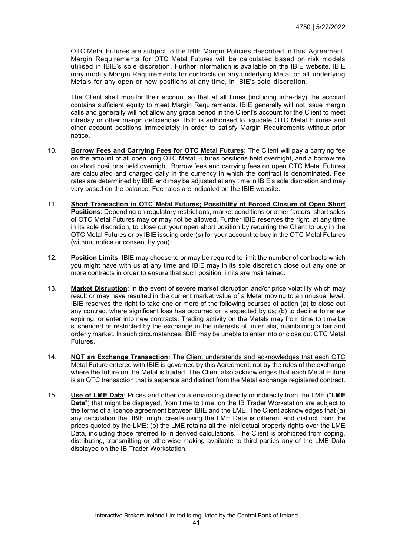OTC Metal Futures are subject to the IBIE Margin Policies described in this Agreement. Margin Requirements for OTC Metal Futures will be calculated based on risk models utilised in IBIE's sole discretion. Further information is available on the IBIE website. IBIE may modify Margin Requirements for contracts on any underlying Metal or all underlying Metals for any open or new positions at any time, in IBIE's sole discretion.

The Client shall monitor their account so that at all times (including intra-day) the account contains sufficient equity to meet Margin Requirements. IBIE generally will not issue margin calls and generally will not allow any grace period in the Client's account for the Client to meet intraday or other margin deficiencies. IBIE is authorised to liquidate OTC Metal Futures and other account positions immediately in order to satisfy Margin Requirements without prior notice.

- 10. **Borrow Fees and Carrying Fees for OTC Metal Futures**: The Client will pay a carrying fee on the amount of all open long OTC Metal Futures positions held overnight, and a borrow fee on short positions held overnight. Borrow fees and carrying fees on open OTC Metal Futures are calculated and charged daily in the currency in which the contract is denominated. Fee rates are determined by IBIE and may be adjusted at any time in IBIE's sole discretion and may vary based on the balance. Fee rates are indicated on the IBIE website.
- 11. **Short Transaction in OTC Metal Futures; Possibility of Forced Closure of Open Short Positions**: Depending on regulatory restrictions, market conditions or other factors, short sales of OTC Metal Futures may or may not be allowed. Further IBIE reserves the right, at any time in its sole discretion, to close out your open short position by requiring the Client to buy in the OTC Metal Futures or by IBIE issuing order(s) for your account to buy in the OTC Metal Futures (without notice or consent by you).
- 12. **Position Limits**: IBIE may choose to or may be required to limit the number of contracts which you might have with us at any time and IBIE may in its sole discretion close out any one or more contracts in order to ensure that such position limits are maintained.
- 13. **Market Disruption**: In the event of severe market disruption and/or price volatility which may result or may have resulted in the current market value of a Metal moving to an unusual level, IBIE reserves the right to take one or more of the following courses of action (a) to close out any contract where significant loss has occurred or is expected by us; (b) to decline to renew expiring, or enter into new contracts. Trading activity on the Metals may from time to time be suspended or restricted by the exchange in the interests of, inter alia, maintaining a fair and orderly market. In such circumstances, IBIE may be unable to enter into or close out OTC Metal Futures.
- 14. **NOT an Exchange Transaction:** The Client understands and acknowledges that each OTC Metal Future entered with IBIE is governed by this Agreement, not by the rules of the exchange where the future on the Metal is traded. The Client also acknowledges that each Metal Future is an OTC transaction that is separate and distinct from the Metal exchange registered contract.
- 15. **Use of LME Data**: Prices and other data emanating directly or indirectly from the LME ("**LME Data**") that might be displayed, from time to time, on the IB Trader Workstation are subject to the terms of a licence agreement between IBIE and the LME. The Client acknowledges that (a) any calculation that IBIE might create using the LME Data is different and distinct from the prices quoted by the LME; (b) the LME retains all the intellectual property rights over the LME Data, including those referred to in derived calculations. The Client is prohibited from coping, distributing, transmitting or otherwise making available to third parties any of the LME Data displayed on the IB Trader Workstation.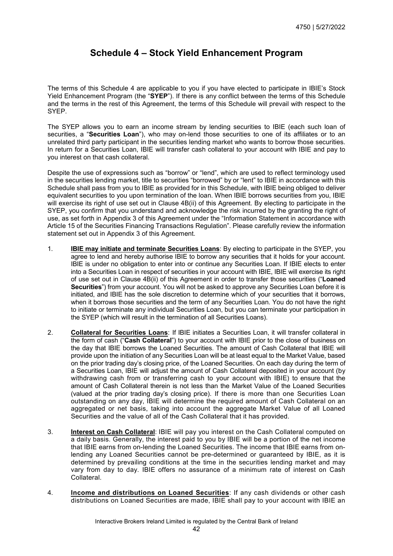# <span id="page-43-0"></span>**Schedule 4 – Stock Yield Enhancement Program**

The terms of this Schedule 4 are applicable to you if you have elected to participate in IBIE's Stock Yield Enhancement Program (the "**SYEP**"). If there is any conflict between the terms of this Schedule and the terms in the rest of this Agreement, the terms of this Schedule will prevail with respect to the SYEP.

The SYEP allows you to earn an income stream by lending securities to IBIE (each such loan of securities, a "**Securities Loan**"), who may on-lend those securities to one of its affiliates or to an unrelated third party participant in the securities lending market who wants to borrow those securities. In return for a Securities Loan, IBIE will transfer cash collateral to your account with IBIE and pay to you interest on that cash collateral.

Despite the use of expressions such as "borrow" or "lend", which are used to reflect terminology used in the securities lending market, title to securities "borrowed" by or "lent" to IBIE in accordance with this Schedule shall pass from you to IBIE as provided for in this Schedule, with IBIE being obliged to deliver equivalent securities to you upon termination of the loan. When IBIE borrows securities from you, IBIE will exercise its right of use set out in Clause [4B\(ii\)](#page-18-1) of this Agreement. By electing to participate in the SYEP, you confirm that you understand and acknowledge the risk incurred by the granting the right of use, as set forth in Appendix 3 of this Agreement under the "Information Statement in accordance with Article 15 of the Securities Financing Transactions Regulation". Please carefully review the information statement set out in Appendix 3 of this Agreement.

- 1. **IBIE may initiate and terminate Securities Loans**: By electing to participate in the SYEP, you agree to lend and hereby authorise IBIE to borrow any securities that it holds for your account. IBIE is under no obligation to enter into or continue any Securities Loan. If IBIE elects to enter into a Securities Loan in respect of securities in your account with IBIE, IBIE will exercise its right of use set out in Clause [4B\(ii\)](#page-18-1) of this Agreement in order to transfer those securities ("**Loaned Securities**") from your account. You will not be asked to approve any Securities Loan before it is initiated, and IBIE has the sole discretion to determine which of your securities that it borrows, when it borrows those securities and the term of any Securities Loan. You do not have the right to initiate or terminate any individual Securities Loan, but you can terminate your participation in the SYEP (which will result in the termination of all Securities Loans).
- 2. **Collateral for Securities Loans**: If IBIE initiates a Securities Loan, it will transfer collateral in the form of cash ("**Cash Collateral**") to your account with IBIE prior to the close of business on the day that IBIE borrows the Loaned Securities. The amount of Cash Collateral that IBIE will provide upon the initiation of any Securities Loan will be at least equal to the Market Value, based on the prior trading day's closing price, of the Loaned Securities. On each day during the term of a Securities Loan, IBIE will adjust the amount of Cash Collateral deposited in your account (by withdrawing cash from or transferring cash to your account with IBIE) to ensure that the amount of Cash Collateral therein is not less than the Market Value of the Loaned Securities (valued at the prior trading day's closing price). If there is more than one Securities Loan outstanding on any day, IBIE will determine the required amount of Cash Collateral on an aggregated or net basis, taking into account the aggregate Market Value of all Loaned Securities and the value of all of the Cash Collateral that it has provided.
- 3. **Interest on Cash Collateral**: IBIE will pay you interest on the Cash Collateral computed on a daily basis. Generally, the interest paid to you by IBIE will be a portion of the net income that IBIE earns from on-lending the Loaned Securities. The income that IBIE earns from onlending any Loaned Securities cannot be pre-determined or guaranteed by IBIE, as it is determined by prevailing conditions at the time in the securities lending market and may vary from day to day. IBIE offers no assurance of a minimum rate of interest on Cash Collateral.
- 4. **Income and distributions on Loaned Securities**: If any cash dividends or other cash distributions on Loaned Securities are made, IBIE shall pay to your account with IBIE an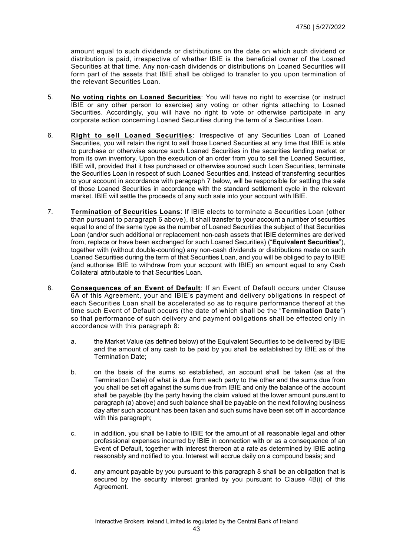amount equal to such dividends or distributions on the date on which such dividend or distribution is paid, irrespective of whether IBIE is the beneficial owner of the Loaned Securities at that time. Any non-cash dividends or distributions on Loaned Securities will form part of the assets that IBIE shall be obliged to transfer to you upon termination of the relevant Securities Loan.

- 5. **No voting rights on Loaned Securities**: You will have no right to exercise (or instruct IBIE or any other person to exercise) any voting or other rights attaching to Loaned Securities. Accordingly, you will have no right to vote or otherwise participate in any corporate action concerning Loaned Securities during the term of a Securities Loan.
- 6. **Right to sell Loaned Securities**: Irrespective of any Securities Loan of Loaned Securities, you will retain the right to sell those Loaned Securities at any time that IBIE is able to purchase or otherwise source such Loaned Securities in the securities lending market or from its own inventory. Upon the execution of an order from you to sell the Loaned Securities, IBIE will, provided that it has purchased or otherwise sourced such Loan Securities, terminate the Securities Loan in respect of such Loaned Securities and, instead of transferring securities to your account in accordance with paragraph 7 below, will be responsible for settling the sale of those Loaned Securities in accordance with the standard settlement cycle in the relevant market. IBIE will settle the proceeds of any such sale into your account with IBIE.
- 7. **Termination of Securities Loans**: If IBIE elects to terminate a Securities Loan (other than pursuant to paragraph 6 above), it shall transfer to your account a number of securities equal to and of the same type as the number of Loaned Securities the subject of that Securities Loan (and/or such additional or replacement non-cash assets that IBIE determines are derived from, replace or have been exchanged for such Loaned Securities) ("**Equivalent Securities**"), together with (without double-counting) any non-cash dividends or distributions made on such Loaned Securities during the term of that Securities Loan, and you will be obliged to pay to IBIE (and authorise IBIE to withdraw from your account with IBIE) an amount equal to any Cash Collateral attributable to that Securities Loan.
- 8. **Consequences of an Event of Default**: If an Event of Default occurs under Clause [6A](#page-21-3) of this Agreement, your and IBIE's payment and delivery obligations in respect of each Securities Loan shall be accelerated so as to require performance thereof at the time such Event of Default occurs (the date of which shall be the "**Termination Date**") so that performance of such delivery and payment obligations shall be effected only in accordance with this paragraph 8:
	- a. the Market Value (as defined below) of the Equivalent Securities to be delivered by IBIE and the amount of any cash to be paid by you shall be established by IBIE as of the Termination Date;
	- b. on the basis of the sums so established, an account shall be taken (as at the Termination Date) of what is due from each party to the other and the sums due from you shall be set off against the sums due from IBIE and only the balance of the account shall be payable (by the party having the claim valued at the lower amount pursuant to paragraph (a) above) and such balance shall be payable on the next following business day after such account has been taken and such sums have been set off in accordance with this paragraph;
	- c. in addition, you shall be liable to IBIE for the amount of all reasonable legal and other professional expenses incurred by IBIE in connection with or as a consequence of an Event of Default, together with interest thereon at a rate as determined by IBIE acting reasonably and notified to you. Interest will accrue daily on a compound basis; and
	- d. any amount payable by you pursuant to this paragraph 8 shall be an obligation that is secured by the security interest granted by you pursuant to Clause [4B\(i\)](#page-18-2) of this Agreement.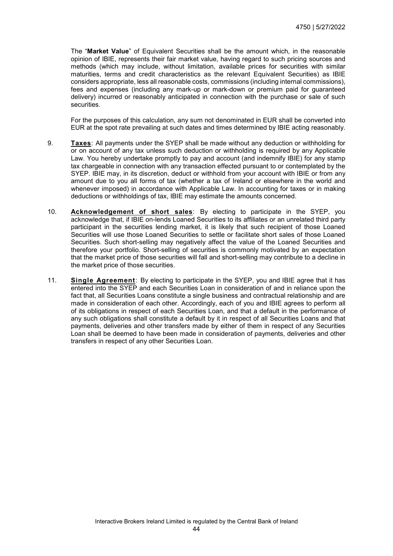The "**Market Value**" of Equivalent Securities shall be the amount which, in the reasonable opinion of IBIE, represents their fair market value, having regard to such pricing sources and methods (which may include, without limitation, available prices for securities with similar maturities, terms and credit characteristics as the relevant Equivalent Securities) as IBIE considers appropriate, less all reasonable costs, commissions (including internal commissions), fees and expenses (including any mark-up or mark-down or premium paid for guaranteed delivery) incurred or reasonably anticipated in connection with the purchase or sale of such securities.

For the purposes of this calculation, any sum not denominated in EUR shall be converted into EUR at the spot rate prevailing at such dates and times determined by IBIE acting reasonably.

- 9. **Taxes**: All payments under the SYEP shall be made without any deduction or withholding for or on account of any tax unless such deduction or withholding is required by any Applicable Law. You hereby undertake promptly to pay and account (and indemnify IBIE) for any stamp tax chargeable in connection with any transaction effected pursuant to or contemplated by the SYEP. IBIE may, in its discretion, deduct or withhold from your account with IBIE or from any amount due to you all forms of tax (whether a tax of Ireland or elsewhere in the world and whenever imposed) in accordance with Applicable Law. In accounting for taxes or in making deductions or withholdings of tax, IBIE may estimate the amounts concerned.
- 10. **Acknowledgement of short sales**: By electing to participate in the SYEP, you acknowledge that, if IBIE on-lends Loaned Securities to its affiliates or an unrelated third party participant in the securities lending market, it is likely that such recipient of those Loaned Securities will use those Loaned Securities to settle or facilitate short sales of those Loaned Securities. Such short-selling may negatively affect the value of the Loaned Securities and therefore your portfolio. Short-selling of securities is commonly motivated by an expectation that the market price of those securities will fall and short-selling may contribute to a decline in the market price of those securities.
- 11. **Single Agreement**: By electing to participate in the SYEP, you and IBIE agree that it has entered into the SYEP and each Securities Loan in consideration of and in reliance upon the fact that, all Securities Loans constitute a single business and contractual relationship and are made in consideration of each other. Accordingly, each of you and IBIE agrees to perform all of its obligations in respect of each Securities Loan, and that a default in the performance of any such obligations shall constitute a default by it in respect of all Securities Loans and that payments, deliveries and other transfers made by either of them in respect of any Securities Loan shall be deemed to have been made in consideration of payments, deliveries and other transfers in respect of any other Securities Loan.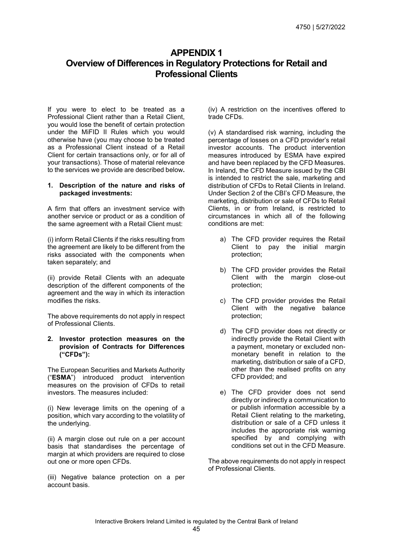### <span id="page-46-0"></span>**APPENDIX 1 Overview of Differences in Regulatory Protections for Retail and Professional Clients**

If you were to elect to be treated as a Professional Client rather than a Retail Client, you would lose the benefit of certain protection under the MiFID II Rules which you would otherwise have (you may choose to be treated as a Professional Client instead of a Retail Client for certain transactions only, or for all of your transactions). Those of material relevance to the services we provide are described below**.**

### **1. Description of the nature and risks of packaged investments:**

A firm that offers an investment service with another service or product or as a condition of the same agreement with a Retail Client must:

(i) inform Retail Clients if the risks resulting from the agreement are likely to be different from the risks associated with the components when taken separately; and

(ii) provide Retail Clients with an adequate description of the different components of the agreement and the way in which its interaction modifies the risks.

The above requirements do not apply in respect of Professional Clients.

### **2. Investor protection measures on the provision of Contracts for Differences ("CFDs"):**

The European Securities and Markets Authority ("**ESMA**") introduced product intervention measures on the provision of CFDs to retail investors. The measures included:

(i) New leverage limits on the opening of a position, which vary according to the volatility of the underlying.

(ii) A margin close out rule on a per account basis that standardises the percentage of margin at which providers are required to close out one or more open CFDs.

(iii) Negative balance protection on a per account basis.

(iv) A restriction on the incentives offered to trade CFDs.

(v) A standardised risk warning, including the percentage of losses on a CFD provider's retail investor accounts. The product intervention measures introduced by ESMA have expired and have been replaced by the CFD Measures. In Ireland, the CFD Measure issued by the CBI is intended to restrict the sale, marketing and distribution of CFDs to Retail Clients in Ireland. Under Section 2 of the CBI's CFD Measure, the marketing, distribution or sale of CFDs to Retail Clients, in or from Ireland, is restricted to circumstances in which all of the following conditions are met:

- a) The CFD provider requires the Retail Client to pay the initial margin protection;
- b) The CFD provider provides the Retail Client with the margin close-out protection;
- c) The CFD provider provides the Retail Client with the negative balance protection;
- d) The CFD provider does not directly or indirectly provide the Retail Client with a payment, monetary or excluded nonmonetary benefit in relation to the marketing, distribution or sale of a CFD, other than the realised profits on any CFD provided; and
- e) The CFD provider does not send directly or indirectly a communication to or publish information accessible by a Retail Client relating to the marketing, distribution or sale of a CFD unless it includes the appropriate risk warning specified by and complying with conditions set out in the CFD Measure.

The above requirements do not apply in respect of Professional Clients.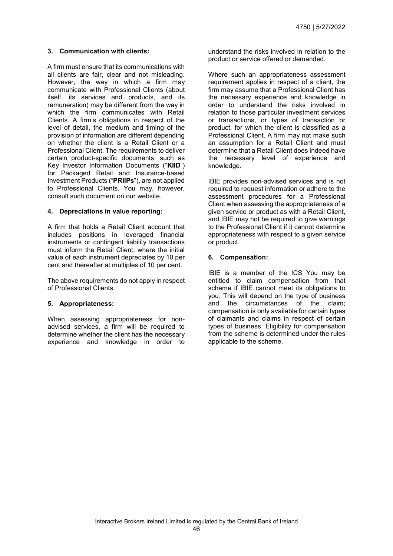### **3. Communication with clients:**

A firm must ensure that its communications with all clients are fair, clear and not misleading. However, the way in which a firm may communicate with Professional Clients (about itself, its services and products, and its remuneration) may be different from the way in which the firm communicates with Retail Clients. A firm's obligations in respect of the level of detail, the medium and timing of the provision of information are different depending on whether the client is a Retail Client or a Professional Client. The requirements to deliver certain product-specific documents, such as Key Investor Information Documents ("**KIID**") for Packaged Retail and Insurance-based Investment Products ("**PRIIPs**"), are not applied to Professional Clients. You may, however, consult such document on our website.

### **4. Depreciations in value reporting:**

A firm that holds a Retail Client account that includes positions in leveraged financial instruments or contingent liability transactions must inform the Retail Client, where the initial value of each instrument depreciates by 10 per cent and thereafter at multiples of 10 per cent.

The above requirements do not apply in respect of Professional Clients.

#### **5. Appropriateness:**

When assessing appropriateness for nonadvised services, a firm will be required to determine whether the client has the necessary experience and knowledge in order to understand the risks involved in relation to the product or service offered or demanded.

Where such an appropriateness assessment requirement applies in respect of a client, the firm may assume that a Professional Client has the necessary experience and knowledge in order to understand the risks involved in relation to those particular investment services or transactions, or types of transaction or product, for which the client is classified as a Professional Client. A firm may not make such an assumption for a Retail Client and must determine that a Retail Client does indeed have the necessary level of experience and knowledge.

IBIE provides non-advised services and is not required to request information or adhere to the assessment procedures for a Professional Client when assessing the appropriateness of a given service or product as with a Retail Client, and IBIE may not be required to give warnings to the Professional Client if it cannot determine appropriateness with respect to a given service or product.

### **6. Compensation:**

IBIE is a member of the ICS You may be entitled to claim compensation from that scheme if IBIE cannot meet its obligations to you. This will depend on the type of business and the circumstances of the claim; compensation is only available for certain types of claimants and claims in respect of certain types of business. Eligibility for compensation from the scheme is determined under the rules applicable to the scheme.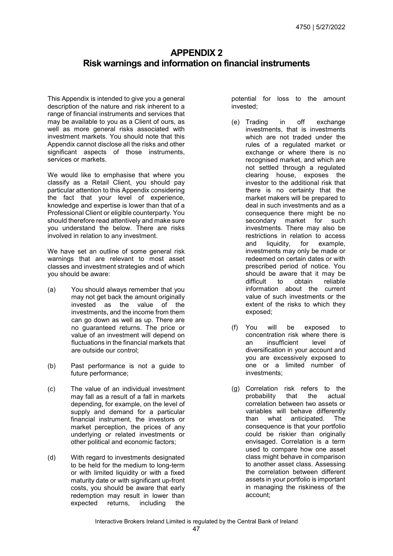### <span id="page-48-0"></span>**APPENDIX 2 Risk warnings and information on financial instruments**

This Appendix is intended to give you a general description of the nature and risk inherent to a range of financial instruments and services that may be available to you as a Client of ours, as well as more general risks associated with investment markets. You should note that this Appendix cannot disclose all the risks and other significant aspects of those instruments, services or markets.

We would like to emphasise that where you classify as a Retail Client, you should pay particular attention to this Appendix considering the fact that your level of experience, knowledge and expertise is lower than that of a Professional Client or eligible counterparty. You should therefore read attentively and make sure you understand the below. There are risks involved in relation to any investment.

We have set an outline of some general risk warnings that are relevant to most asset classes and investment strategies and of which you should be aware:

- (a) You should always remember that you may not get back the amount originally invested as the value of the investments, and the income from them can go down as well as up. There are no guaranteed returns. The price or value of an investment will depend on fluctuations in the financial markets that are outside our control;
- (b) Past performance is not a guide to future performance;
- (c) The value of an individual investment may fall as a result of a fall in markets depending, for example, on the level of supply and demand for a particular financial instrument, the investors or market perception, the prices of any underlying or related investments or other political and economic factors;
- (d) With regard to investments designated to be held for the medium to long-term or with limited liquidity or with a fixed maturity date or with significant up-front costs, you should be aware that early redemption may result in lower than expected returns, including the

potential for loss to the amount invested;

- (e) Trading in off exchange investments, that is investments which are not traded under the rules of a regulated market or exchange or where there is no recognised market, and which are not settled through a regulated clearing house, exposes the investor to the additional risk that there is no certainty that the market makers will be prepared to deal in such investments and as a consequence there might be no secondary market for such investments. There may also be restrictions in relation to access<br>and liquidity for example liquidity, for example, investments may only be made or redeemed on certain dates or with prescribed period of notice. You should be aware that it may be difficult to obtain reliable difficult to obtain reliable information about the current value of such investments or the extent of the risks to which they exposed;
- (f) You will be exposed to concentration risk where there is<br>an insufficient level of an insufficient level of diversification in your account and you are excessively exposed to one or a limited number of investments;
- (g) Correlation risk refers to the probability that the actual correlation between two assets or variables will behave differently than what anticipated. The consequence is that your portfolio could be riskier than originally envisaged. Correlation is a term used to compare how one asset class might behave in comparison to another asset class. Assessing the correlation between different assets in your portfolio is important in managing the riskiness of the account;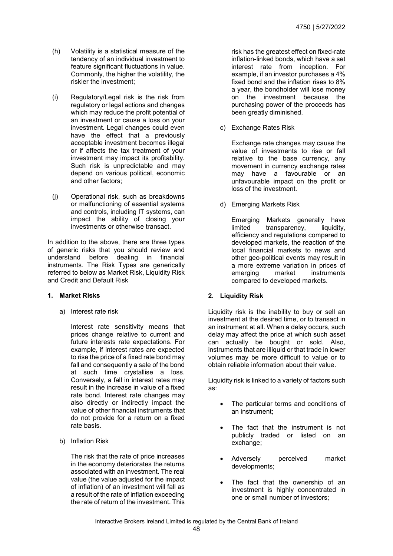- (h) Volatility is a statistical measure of the tendency of an individual investment to feature significant fluctuations in value. Commonly, the higher the volatility, the riskier the investment;
- (i) Regulatory/Legal risk is the risk from regulatory or legal actions and changes which may reduce the profit potential of an investment or cause a loss on your investment. Legal changes could even have the effect that a previously acceptable investment becomes illegal or if affects the tax treatment of your investment may impact its profitability. Such risk is unpredictable and may depend on various political, economic and other factors;
- (j) Operational risk, such as breakdowns or malfunctioning of essential systems and controls, including IT systems, can impact the ability of closing your investments or otherwise transact.

In addition to the above, there are three types of generic risks that you should review and understand before dealing in financial instruments. The Risk Types are generically referred to below as Market Risk, Liquidity Risk and Credit and Default Risk

### **1. Market Risks**

a) Interest rate risk

Interest rate sensitivity means that prices change relative to current and future interests rate expectations. For example, if interest rates are expected to rise the price of a fixed rate bond may fall and consequently a sale of the bond at such time crystallise a loss. Conversely, a fall in interest rates may result in the increase in value of a fixed rate bond. Interest rate changes may also directly or indirectly impact the value of other financial instruments that do not provide for a return on a fixed rate basis.

b) Inflation Risk

The risk that the rate of price increases in the economy deteriorates the returns associated with an investment. The real value (the value adjusted for the impact of inflation) of an investment will fall as a result of the rate of inflation exceeding the rate of return of the investment. This

risk has the greatest effect on fixed-rate inflation-linked bonds, which have a set interest rate from inception. For example, if an investor purchases a 4% fixed bond and the inflation rises to 8% a year, the bondholder will lose money on the investment because the purchasing power of the proceeds has been greatly diminished.

c) Exchange Rates Risk

Exchange rate changes may cause the value of investments to rise or fall relative to the base currency, any movement in currency exchange rates may have a favourable or an unfavourable impact on the profit or loss of the investment.

d) Emerging Markets Risk

Emerging Markets generally have<br>limited transparency, liquidity, transparency, efficiency and regulations compared to developed markets, the reaction of the local financial markets to news and other geo-political events may result in a more extreme variation in prices of emerging market instruments compared to developed markets.

### **2. Liquidity Risk**

Liquidity risk is the inability to buy or sell an investment at the desired time, or to transact in an instrument at all. When a delay occurs, such delay may affect the price at which such asset can actually be bought or sold. Also, instruments that are illiquid or that trade in lower volumes may be more difficult to value or to obtain reliable information about their value.

Liquidity risk is linked to a variety of factors such as:

- The particular terms and conditions of an instrument;
- The fact that the instrument is not publicly traded or listed on an exchange;
- Adversely perceived market developments;
- The fact that the ownership of an investment is highly concentrated in one or small number of investors;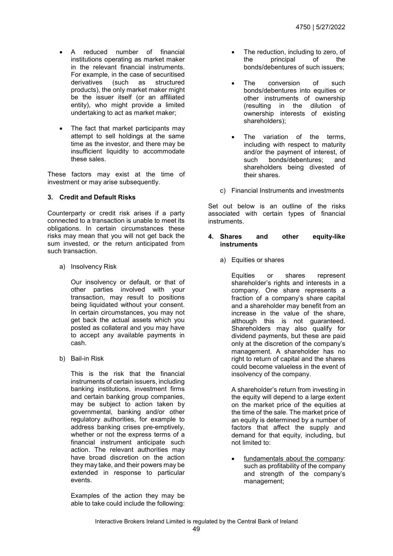- A reduced number of financial institutions operating as market maker in the relevant financial instruments. For example, in the case of securitised<br>derivatives (such as structured derivatives products), the only market maker might be the issuer itself (or an affiliated entity), who might provide a limited undertaking to act as market maker;
- The fact that market participants may attempt to sell holdings at the same time as the investor, and there may be insufficient liquidity to accommodate these sales.

These factors may exist at the time of investment or may arise subsequently.

### **3. Credit and Default Risks**

Counterparty or credit risk arises if a party connected to a transaction is unable to meet its obligations. In certain circumstances these risks may mean that you will not get back the sum invested, or the return anticipated from such transaction.

a) Insolvency Risk

Our insolvency or default, or that of other parties involved with your transaction, may result to positions being liquidated without your consent. In certain circumstances, you may not get back the actual assets which you posted as collateral and you may have to accept any available payments in cash.

b) Bail-in Risk

This is the risk that the financial instruments of certain issuers, including banking institutions, investment firms and certain banking group companies, may be subject to action taken by governmental, banking and/or other regulatory authorities, for example to address banking crises pre-emptively, whether or not the express terms of a financial instrument anticipate such action. The relevant authorities may have broad discretion on the action they may take, and their powers may be extended in response to particular events.

Examples of the action they may be able to take could include the following:

- The reduction, including to zero, of<br>the principal of the the principal of the bonds/debentures of such issuers;
- The conversion of such bonds/debentures into equities or other instruments of ownership (resulting in the dilution of ownership interests of existing shareholders);
- The variation of the terms, including with respect to maturity and/or the payment of interest, of<br>such bonds/debentures; and bonds/debentures; shareholders being divested of their shares.
- c) Financial Instruments and investments

Set out below is an outline of the risks associated with certain types of financial instruments.

### **4. Shares and other equity-like instruments**

a) Equities or shares

Equities or shares represent shareholder's rights and interests in a company. One share represents a fraction of a company's share capital and a shareholder may benefit from an increase in the value of the share, although this is not guaranteed. Shareholders may also qualify for dividend payments, but these are paid only at the discretion of the company's management. A shareholder has no right to return of capital and the shares could become valueless in the event of insolvency of the company.

A shareholder's return from investing in the equity will depend to a large extent on the market price of the equities at the time of the sale. The market price of an equity is determined by a number of factors that affect the supply and demand for that equity, including, but not limited to:

fundamentals about the company: such as profitability of the company and strength of the company's management;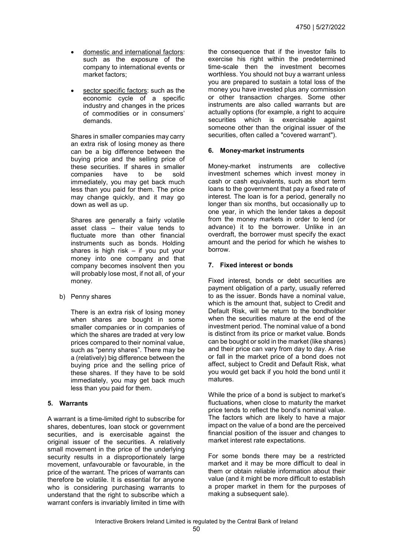- domestic and international factors: such as the exposure of the company to international events or market factors;
- sector specific factors: such as the economic cycle of a specific industry and changes in the prices of commodities or in consumers' demands.

Shares in smaller companies may carry an extra risk of losing money as there can be a big difference between the buying price and the selling price of these securities. If shares in smaller<br>companies have to be sold companies have to be sold immediately, you may get back much less than you paid for them. The price may change quickly, and it may go down as well as up.

Shares are generally a fairly volatile asset class – their value tends to fluctuate more than other financial instruments such as bonds. Holding shares is high risk – if you put your money into one company and that company becomes insolvent then you will probably lose most, if not all, of your money.

b) Penny shares

There is an extra risk of losing money when shares are bought in some smaller companies or in companies of which the shares are traded at very low prices compared to their nominal value, such as "penny shares". There may be a (relatively) big difference between the buying price and the selling price of these shares. If they have to be sold immediately, you may get back much less than you paid for them.

### **5. Warrants**

A warrant is a time-limited right to subscribe for shares, debentures, loan stock or government securities, and is exercisable against the original issuer of the securities. A relatively small movement in the price of the underlying security results in a disproportionately large movement, unfavourable or favourable, in the price of the warrant. The prices of warrants can therefore be volatile. It is essential for anyone who is considering purchasing warrants to understand that the right to subscribe which a warrant confers is invariably limited in time with

the consequence that if the investor fails to exercise his right within the predetermined time-scale then the investment becomes worthless. You should not buy a warrant unless you are prepared to sustain a total loss of the money you have invested plus any commission or other transaction charges. Some other instruments are also called warrants but are actually options (for example, a right to acquire securities which is exercisable against someone other than the original issuer of the securities, often called a "covered warrant").

### **6. Money-market instruments**

Money-market instruments are collective investment schemes which invest money in cash or cash equivalents, such as short term loans to the government that pay a fixed rate of interest. The loan is for a period, generally no longer than six months, but occasionally up to one year, in which the lender takes a deposit from the money markets in order to lend (or advance) it to the borrower. Unlike in an overdraft, the borrower must specify the exact amount and the period for which he wishes to borrow.

### **7. Fixed interest or bonds**

Fixed interest, bonds or debt securities are payment obligation of a party, usually referred to as the issuer. Bonds have a nominal value, which is the amount that, subject to Credit and Default Risk, will be return to the bondholder when the securities mature at the end of the investment period. The nominal value of a bond is distinct from its price or market value. Bonds can be bought or sold in the market (like shares) and their price can vary from day to day. A rise or fall in the market price of a bond does not affect, subject to Credit and Default Risk, what you would get back if you hold the bond until it matures.

While the price of a bond is subject to market's fluctuations, when close to maturity the market price tends to reflect the bond's nominal value. The factors which are likely to have a major impact on the value of a bond are the perceived financial position of the issuer and changes to market interest rate expectations.

For some bonds there may be a restricted market and it may be more difficult to deal in them or obtain reliable information about their value (and it might be more difficult to establish a proper market in them for the purposes of making a subsequent sale).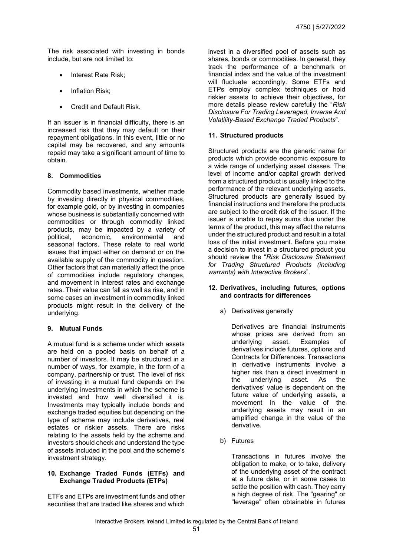The risk associated with investing in bonds include, but are not limited to:

- Interest Rate Risk;
- Inflation Risk;
- Credit and Default Risk.

If an issuer is in financial difficulty, there is an increased risk that they may default on their repayment obligations. In this event, little or no capital may be recovered, and any amounts repaid may take a significant amount of time to obtain.

### **8. Commodities**

Commodity based investments, whether made by investing directly in physical commodities, for example gold, or by investing in companies whose business is substantially concerned with commodities or through commodity linked products, may be impacted by a variety of political. economic. environmental and political, economic, environmental and seasonal factors. These relate to real world issues that impact either on demand or on the available supply of the commodity in question. Other factors that can materially affect the price of commodities include regulatory changes, and movement in interest rates and exchange rates. Their value can fall as well as rise, and in some cases an investment in commodity linked products might result in the delivery of the underlying.

### **9. Mutual Funds**

A mutual fund is a scheme under which assets are held on a pooled basis on behalf of a number of investors. It may be structured in a number of ways, for example, in the form of a company, partnership or trust. The level of risk of investing in a mutual fund depends on the underlying investments in which the scheme is invested and how well diversified it is. Investments may typically include bonds and exchange traded equities but depending on the type of scheme may include derivatives, real estates or riskier assets. There are risks relating to the assets held by the scheme and investors should check and understand the type of assets included in the pool and the scheme's investment strategy.

### **10. Exchange Traded Funds (ETFs) and Exchange Traded Products (ETPs)**

ETFs and ETPs are investment funds and other securities that are traded like shares and which invest in a diversified pool of assets such as shares, bonds or commodities. In general, they track the performance of a benchmark or financial index and the value of the investment will fluctuate accordingly. Some ETFs and ETPs employ complex techniques or hold riskier assets to achieve their objectives, for more details please review carefully the "*Risk Disclosure For Trading Leveraged, Inverse And Volatility-Based Exchange Traded Products*".

### **11. Structured products**

Structured products are the generic name for products which provide economic exposure to a wide range of underlying asset classes. The level of income and/or capital growth derived from a structured product is usually linked to the performance of the relevant underlying assets. Structured products are generally issued by financial instructions and therefore the products are subject to the credit risk of the issuer. If the issuer is unable to repay sums due under the terms of the product, this may affect the returns under the structured product and result in a total loss of the initial investment. Before you make a decision to invest in a structured product you should review the "*Risk Disclosure Statement for Trading Structured Products (including warrants) with Interactive Brokers*".

### **12. Derivatives, including futures, options and contracts for differences**

a) Derivatives generally

Derivatives are financial instruments whose prices are derived from an<br>underlying asset. Examples of underlying asset. Examples of derivatives include futures, options and Contracts for Differences. Transactions in derivative instruments involve a higher risk than a direct investment in the underlying asset. As the derivatives' value is dependent on the future value of underlying assets, a movement in the value of the underlying assets may result in an amplified change in the value of the derivative.

b) Futures

Transactions in futures involve the obligation to make, or to take, delivery of the underlying asset of the contract at a future date, or in some cases to settle the position with cash. They carry a high degree of risk. The "gearing" or "leverage" often obtainable in futures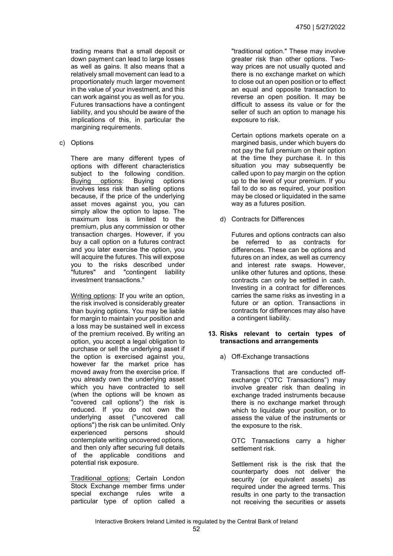trading means that a small deposit or down payment can lead to large losses as well as gains. It also means that a relatively small movement can lead to a proportionately much larger movement in the value of your investment, and this can work against you as well as for you. Futures transactions have a contingent liability, and you should be aware of the implications of this, in particular the margining requirements.

c) Options

There are many different types of options with different characteristics subject to the following condition. Buying options: Buying options involves less risk than selling options because, if the price of the underlying asset moves against you, you can simply allow the option to lapse. The maximum loss is limited to the premium, plus any commission or other transaction charges. However, if you buy a call option on a futures contract and you later exercise the option, you will acquire the futures. This will expose you to the risks described under<br>"futures" and "contingent liability "contingent liability investment transactions."

Writing options: If you write an option, the risk involved is considerably greater than buying options. You may be liable for margin to maintain your position and a loss may be sustained well in excess of the premium received. By writing an option, you accept a legal obligation to purchase or sell the underlying asset if the option is exercised against you, however far the market price has moved away from the exercise price. If you already own the underlying asset which you have contracted to sell (when the options will be known as "covered call options") the risk is reduced. If you do not own the underlying asset ("uncovered call options") the risk can be unlimited. Only experienced persons should contemplate writing uncovered options, and then only after securing full details of the applicable conditions and potential risk exposure.

Traditional options: Certain London Stock Exchange member firms under special exchange rules write a particular type of option called a

"traditional option." These may involve greater risk than other options. Twoway prices are not usually quoted and there is no exchange market on which to close out an open position or to effect an equal and opposite transaction to reverse an open position. It may be difficult to assess its value or for the seller of such an option to manage his exposure to risk.

Certain options markets operate on a margined basis, under which buyers do not pay the full premium on their option at the time they purchase it. In this situation you may subsequently be called upon to pay margin on the option up to the level of your premium. If you fail to do so as required, your position may be closed or liquidated in the same way as a futures position.

d) Contracts for Differences

Futures and options contracts can also be referred to as contracts for differences. These can be options and futures on an index, as well as currency and interest rate swaps. However, unlike other futures and options, these contracts can only be settled in cash. Investing in a contract for differences carries the same risks as investing in a future or an option. Transactions in contracts for differences may also have a contingent liability.

### **13. Risks relevant to certain types of transactions and arrangements**

a) Off-Exchange transactions

Transactions that are conducted offexchange ("OTC Transactions") may involve greater risk than dealing in exchange traded instruments because there is no exchange market through which to liquidate your position, or to assess the value of the instruments or the exposure to the risk.

OTC Transactions carry a higher settlement risk.

Settlement risk is the risk that the counterparty does not deliver the security (or equivalent assets) as required under the agreed terms. This results in one party to the transaction not receiving the securities or assets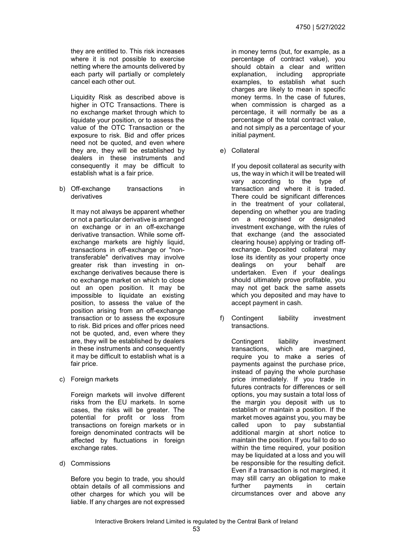they are entitled to. This risk increases where it is not possible to exercise netting where the amounts delivered by each party will partially or completely cancel each other out.

Liquidity Risk as described above is higher in OTC Transactions. There is no exchange market through which to liquidate your position, or to assess the value of the OTC Transaction or the exposure to risk. Bid and offer prices need not be quoted, and even where they are, they will be established by dealers in these instruments and consequently it may be difficult to establish what is a fair price.

b) Off-exchange transactions in derivatives

It may not always be apparent whether or not a particular derivative is arranged on exchange or in an off-exchange derivative transaction. While some offexchange markets are highly liquid, transactions in off-exchange or "nontransferable" derivatives may involve greater risk than investing in onexchange derivatives because there is no exchange market on which to close out an open position. It may be impossible to liquidate an existing position, to assess the value of the position arising from an off-exchange transaction or to assess the exposure to risk. Bid prices and offer prices need not be quoted, and, even where they are, they will be established by dealers in these instruments and consequently it may be difficult to establish what is a fair price.

c) Foreign markets

Foreign markets will involve different risks from the EU markets. In some cases, the risks will be greater. The potential for profit or loss from transactions on foreign markets or in foreign denominated contracts will be affected by fluctuations in foreign exchange rates.

d) Commissions

Before you begin to trade, you should obtain details of all commissions and other charges for which you will be liable. If any charges are not expressed in money terms (but, for example, as a percentage of contract value), you should obtain a clear and written explanation, including appropriate examples, to establish what such charges are likely to mean in specific money terms. In the case of futures, when commission is charged as a percentage, it will normally be as a percentage of the total contract value, and not simply as a percentage of your initial payment.

e) Collateral

If you deposit collateral as security with us, the way in which it will be treated will vary according to the type of transaction and where it is traded. There could be significant differences in the treatment of your collateral, depending on whether you are trading on a recognised or designated investment exchange, with the rules of that exchange (and the associated clearing house) applying or trading offexchange. Deposited collateral may lose its identity as your property once dealings on your behalf are undertaken. Even if your dealings should ultimately prove profitable, you may not get back the same assets which you deposited and may have to accept payment in cash.

f) Contingent liability investment transactions.

Contingent liability investment transactions, which are margined, require you to make a series of payments against the purchase price, instead of paying the whole purchase price immediately. If you trade in futures contracts for differences or sell options, you may sustain a total loss of the margin you deposit with us to establish or maintain a position. If the market moves against you, you may be called upon to pay substantial additional margin at short notice to maintain the position. If you fail to do so within the time required, your position may be liquidated at a loss and you will be responsible for the resulting deficit. Even if a transaction is not margined, it may still carry an obligation to make further payments in certain circumstances over and above any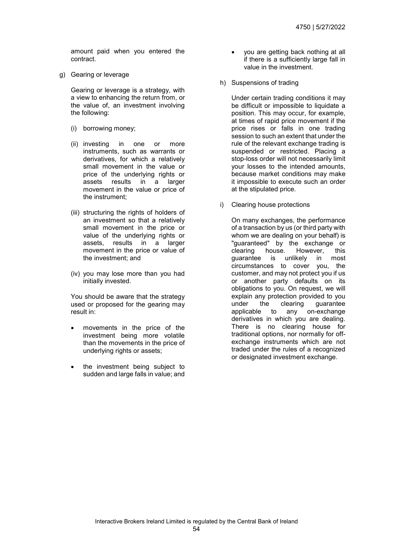amount paid when you entered the contract.

g) Gearing or leverage

Gearing or leverage is a strategy, with a view to enhancing the return from, or the value of, an investment involving the following:

- (i) borrowing money;
- (ii) investing in one or more instruments, such as warrants or derivatives, for which a relatively small movement in the value or price of the underlying rights or assets results in a larger movement in the value or price of the instrument;
- (iii) structuring the rights of holders of an investment so that a relatively small movement in the price or value of the underlying rights or assets, results in a larger movement in the price or value of the investment; and
- (iv) you may lose more than you had initially invested.

You should be aware that the strategy used or proposed for the gearing may result in:

- movements in the price of the investment being more volatile than the movements in the price of underlying rights or assets;
- the investment being subject to sudden and large falls in value; and
- you are getting back nothing at all if there is a sufficiently large fall in value in the investment.
- h) Suspensions of trading

Under certain trading conditions it may be difficult or impossible to liquidate a position. This may occur, for example, at times of rapid price movement if the price rises or falls in one trading session to such an extent that under the rule of the relevant exchange trading is suspended or restricted. Placing a stop-loss order will not necessarily limit your losses to the intended amounts, because market conditions may make it impossible to execute such an order at the stipulated price.

i) Clearing house protections

On many exchanges, the performance of a transaction by us (or third party with whom we are dealing on your behalf) is "guaranteed" by the exchange or clearing house. However, guarantee is unlikely in most circumstances to cover you, the customer, and may not protect you if us or another party defaults on its obligations to you. On request, we will explain any protection provided to you under the clearing guarantee applicable to any on-exchange derivatives in which you are dealing. There is no clearing house for traditional options, nor normally for offexchange instruments which are not traded under the rules of a recognized or designated investment exchange.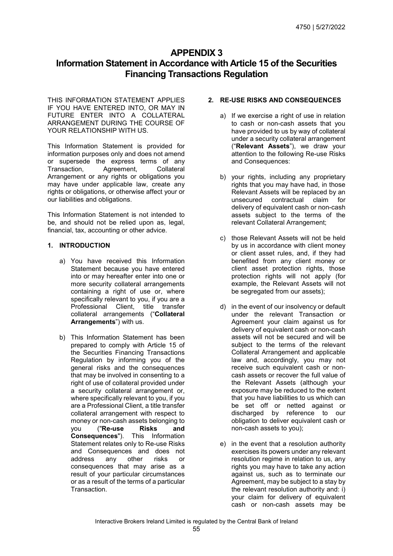### **APPENDIX 3**

# <span id="page-56-0"></span>**Information Statement in Accordance with Article 15 of the Securities Financing Transactions Regulation**

THIS INFORMATION STATEMENT APPLIES IF YOU HAVE ENTERED INTO, OR MAY IN FUTURE ENTER INTO A COLLATERAL ARRANGEMENT DURING THE COURSE OF YOUR RELATIONSHIP WITH US.

This Information Statement is provided for information purposes only and does not amend or supersede the express terms of any<br>Transaction. Agreement. Collateral Agreement, Arrangement or any rights or obligations you may have under applicable law, create any rights or obligations, or otherwise affect your or our liabilities and obligations.

This Information Statement is not intended to be, and should not be relied upon as, legal, financial, tax, accounting or other advice.

### **1. INTRODUCTION**

- a) You have received this Information Statement because you have entered into or may hereafter enter into one or more security collateral arrangements containing a right of use or, where specifically relevant to you, if you are a Professional Client, title transfer collateral arrangements ("**Collateral Arrangements**") with us.
- b) This Information Statement has been prepared to comply with Article 15 of the Securities Financing Transactions Regulation by informing you of the general risks and the consequences that may be involved in consenting to a right of use of collateral provided under a security collateral arrangement or, where specifically relevant to you, if you are a Professional Client, a title transfer collateral arrangement with respect to money or non-cash assets belonging to you ("**Re-use Risks and Consequences**"). This Information Statement relates only to Re-use Risks and Consequences and does not address any other risks or consequences that may arise as a result of your particular circumstances or as a result of the terms of a particular Transaction.

### **2. RE-USE RISKS AND CONSEQUENCES**

- a) If we exercise a right of use in relation to cash or non-cash assets that you have provided to us by way of collateral under a security collateral arrangement ("**Relevant Assets**"), we draw your attention to the following Re-use Risks and Consequences:
- b) your rights, including any proprietary rights that you may have had, in those Relevant Assets will be replaced by an unsecured contractual claim for delivery of equivalent cash or non-cash assets subject to the terms of the relevant Collateral Arrangement;
- c) those Relevant Assets will not be held by us in accordance with client money or client asset rules, and, if they had benefited from any client money or client asset protection rights, those protection rights will not apply (for example, the Relevant Assets will not be segregated from our assets);
- d) in the event of our insolvency or default under the relevant Transaction or Agreement your claim against us for delivery of equivalent cash or non-cash assets will not be secured and will be subject to the terms of the relevant Collateral Arrangement and applicable law and, accordingly, you may not receive such equivalent cash or noncash assets or recover the full value of the Relevant Assets (although your exposure may be reduced to the extent that you have liabilities to us which can be set off or netted against or discharged by reference to our obligation to deliver equivalent cash or non-cash assets to you);
- e) in the event that a resolution authority exercises its powers under any relevant resolution regime in relation to us, any rights you may have to take any action against us, such as to terminate our Agreement, may be subject to a stay by the relevant resolution authority and: i) your claim for delivery of equivalent cash or non-cash assets may be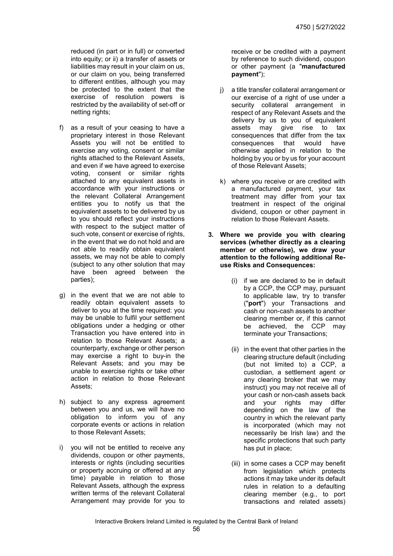reduced (in part or in full) or converted into equity; or ii) a transfer of assets or liabilities may result in your claim on us, or our claim on you, being transferred to different entities, although you may be protected to the extent that the exercise of resolution powers is restricted by the availability of set-off or netting rights;

- f) as a result of your ceasing to have a proprietary interest in those Relevant Assets you will not be entitled to exercise any voting, consent or similar rights attached to the Relevant Assets, and even if we have agreed to exercise voting, consent or similar rights attached to any equivalent assets in accordance with your instructions or the relevant Collateral Arrangement entitles you to notify us that the equivalent assets to be delivered by us to you should reflect your instructions with respect to the subject matter of such vote, consent or exercise of rights, in the event that we do not hold and are not able to readily obtain equivalent assets, we may not be able to comply (subject to any other solution that may have been agreed between the parties);
- g) in the event that we are not able to readily obtain equivalent assets to deliver to you at the time required: you may be unable to fulfil your settlement obligations under a hedging or other Transaction you have entered into in relation to those Relevant Assets; a counterparty, exchange or other person may exercise a right to buy-in the Relevant Assets; and you may be unable to exercise rights or take other action in relation to those Relevant Assets;
- h) subject to any express agreement between you and us, we will have no obligation to inform you of any corporate events or actions in relation to those Relevant Assets;
- i) you will not be entitled to receive any dividends, coupon or other payments, interests or rights (including securities or property accruing or offered at any time) payable in relation to those Relevant Assets, although the express written terms of the relevant Collateral Arrangement may provide for you to

receive or be credited with a payment by reference to such dividend, coupon or other payment (a "**manufactured payment**");

- j) a title transfer collateral arrangement or our exercise of a right of use under a security collateral arrangement in respect of any Relevant Assets and the delivery by us to you of equivalent<br>assets may give rise to tax assets may give rise to tax consequences that differ from the tax<br>consequences that would have consequences otherwise applied in relation to the holding by you or by us for your account of those Relevant Assets;
- k) where you receive or are credited with a manufactured payment, your tax treatment may differ from your tax treatment in respect of the original dividend, coupon or other payment in relation to those Relevant Assets.
- **3. Where we provide you with clearing services (whether directly as a clearing member or otherwise), we draw your attention to the following additional Reuse Risks and Consequences:** 
	- (i) if we are declared to be in default by a CCP, the CCP may, pursuant to applicable law, try to transfer ("**port**") your Transactions and cash or non-cash assets to another clearing member or, if this cannot be achieved, the CCP may terminate your Transactions;
	- (ii) in the event that other parties in the clearing structure default (including (but not limited to) a CCP, a custodian, a settlement agent or any clearing broker that we may instruct) you may not receive all of your cash or non-cash assets back and your rights may differ depending on the law of the country in which the relevant party is incorporated (which may not necessarily be Irish law) and the specific protections that such party has put in place;
	- (iii) in some cases a CCP may benefit from legislation which protects actions it may take under its default rules in relation to a defaulting clearing member (e.g., to port transactions and related assets)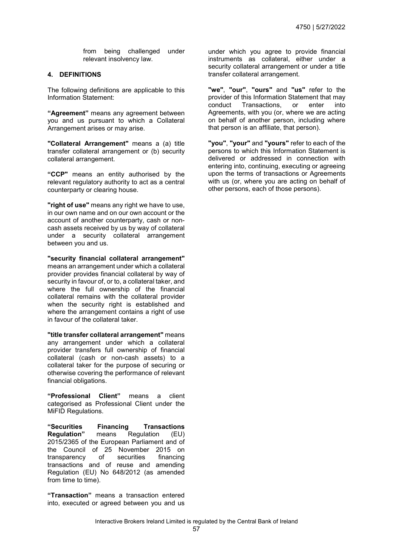from being challenged under relevant insolvency law.

### **4. DEFINITIONS**

The following definitions are applicable to this Information Statement:

**"Agreement"** means any agreement between you and us pursuant to which a Collateral Arrangement arises or may arise.

**"Collateral Arrangement"** means a (a) title transfer collateral arrangement or (b) security collateral arrangement.

**"CCP"** means an entity authorised by the relevant regulatory authority to act as a central counterparty or clearing house.

**"right of use"** means any right we have to use, in our own name and on our own account or the account of another counterparty, cash or noncash assets received by us by way of collateral under a security collateral arrangement between you and us.

**"security financial collateral arrangement"**  means an arrangement under which a collateral provider provides financial collateral by way of security in favour of, or to, a collateral taker, and where the full ownership of the financial collateral remains with the collateral provider when the security right is established and where the arrangement contains a right of use in favour of the collateral taker.

**"title transfer collateral arrangement"** means any arrangement under which a collateral provider transfers full ownership of financial collateral (cash or non-cash assets) to a collateral taker for the purpose of securing or otherwise covering the performance of relevant financial obligations.

**"Professional Client"** means a client categorised as Professional Client under the MiFID Regulations.

**"Securities Financing Transactions Regulation"** means Regulation (EU) 2015/2365 of the European Parliament and of the Council of 25 November 2015 on<br>transparency of securities financing transparency of securities transactions and of reuse and amending Regulation (EU) No 648/2012 (as amended from time to time).

**"Transaction"** means a transaction entered into, executed or agreed between you and us under which you agree to provide financial instruments as collateral, either under a security collateral arrangement or under a title transfer collateral arrangement.

**"we"**, **"our"**, **"ours"** and **"us"** refer to the provider of this Information Statement that may<br>conduct Transactions, or enter into Transactions, Agreements, with you (or, where we are acting on behalf of another person, including where that person is an affiliate, that person).

**"you"**, **"your"** and **"yours"** refer to each of the persons to which this Information Statement is delivered or addressed in connection with entering into, continuing, executing or agreeing upon the terms of transactions or Agreements with us (or, where you are acting on behalf of other persons, each of those persons).